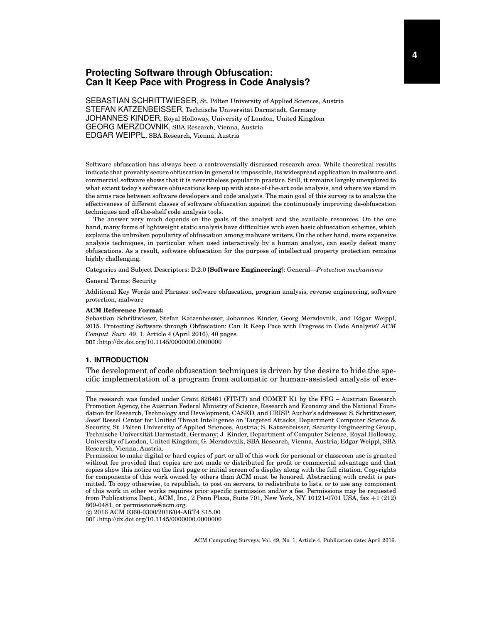SEBASTIAN SCHRITTWIESER, St. Pölten University of Applied Sciences, Austria STEFAN KATZENBEISSER, Technische Universitat Darmstadt, Germany ¨ JOHANNES KINDER, Royal Holloway, University of London, United Kingdom GEORG MERZDOVNIK, SBA Research, Vienna, Austria EDGAR WEIPPL, SBA Research, Vienna, Austria

Software obfuscation has always been a controversially discussed research area. While theoretical results indicate that provably secure obfuscation in general is impossible, its widespread application in malware and commercial software shows that it is nevertheless popular in practice. Still, it remains largely unexplored to what extent today's software obfuscations keep up with state-of-the-art code analysis, and where we stand in the arms race between software developers and code analysts. The main goal of this survey is to analyze the effectiveness of different classes of software obfuscation against the continuously improving de-obfuscation techniques and off-the-shelf code analysis tools.

The answer very much depends on the goals of the analyst and the available resources. On the one hand, many forms of lightweight static analysis have difficulties with even basic obfuscation schemes, which explains the unbroken popularity of obfuscation among malware writers. On the other hand, more expensive analysis techniques, in particular when used interactively by a human analyst, can easily defeat many obfuscations. As a result, software obfuscation for the purpose of intellectual property protection remains highly challenging.

Categories and Subject Descriptors: D.2.0 [**Software Engineering**]: General—*Protection mechanisms*

General Terms: Security

Additional Key Words and Phrases: software obfuscation, program analysis, reverse engineering, software protection, malware

#### **ACM Reference Format:**

Sebastian Schrittwieser, Stefan Katzenbeisser, Johannes Kinder, Georg Merzdovnik, and Edgar Weippl, 2015. Protecting Software through Obfuscation: Can It Keep Pace with Progress in Code Analysis? *ACM Comput. Surv.* 49, 1, Article 4 (April 2016), 40 pages. DOI:http://dx.doi.org/10.1145/0000000.0000000

**1. INTRODUCTION**

The development of code obfuscation techniques is driven by the desire to hide the specific implementation of a program from automatic or human-assisted analysis of exe-

 c 2016 ACM 0360-0300/2016/04-ART4 \$15.00 DOI:http://dx.doi.org/10.1145/0000000.0000000

The research was funded under Grant 826461 (FIT-IT) and COMET K1 by the FFG – Austrian Research Promotion Agency, the Austrian Federal Ministry of Science, Research and Economy and the National Foundation for Research, Technology and Development, CASED, and CRISP. Author's addresses: S. Schrittwieser, Josef Ressel Center for Unified Threat Intelligence on Targeted Attacks, Department Computer Science & Security, St. Polten University of Applied Sciences, Austria; S. Katzenbeisser, Security Engineering Group, ¨ Technische Universität Darmstadt, Germany; J. Kinder, Department of Computer Science, Royal Holloway, University of London, United Kingdom; G. Merzdovnik, SBA Research, Vienna, Austria; Edgar Weippl, SBA Research, Vienna, Austria.

Permission to make digital or hard copies of part or all of this work for personal or classroom use is granted without fee provided that copies are not made or distributed for profit or commercial advantage and that copies show this notice on the first page or initial screen of a display along with the full citation. Copyrights for components of this work owned by others than ACM must be honored. Abstracting with credit is permitted. To copy otherwise, to republish, to post on servers, to redistribute to lists, or to use any component of this work in other works requires prior specific permission and/or a fee. Permissions may be requested from Publications Dept., ACM, Inc., 2 Penn Plaza, Suite 701, New York, NY 10121-0701 USA, fax +1 (212) 869-0481, or permissions@acm.org.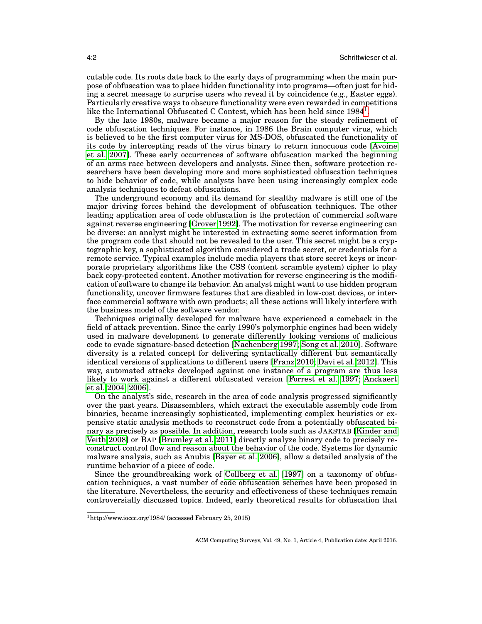cutable code. Its roots date back to the early days of programming when the main purpose of obfuscation was to place hidden functionality into programs—often just for hiding a secret message to surprise users who reveal it by coincidence (e.g., Easter eggs). Particularly creative ways to obscure functionality were even rewarded in competitions like the International Obfuscated C Contest, which has been held since  $1984^{\overline{1}}$  $1984^{\overline{1}}$ .

By the late 1980s, malware became a major reason for the steady refinement of code obfuscation techniques. For instance, in 1986 the Brain computer virus, which is believed to be the first computer virus for MS-DOS, obfuscated the functionality of its code by intercepting reads of the virus binary to return innocuous code [\[Avoine](#page-28-0) [et al. 2007\]](#page-28-0). These early occurrences of software obfuscation marked the beginning of an arms race between developers and analysts. Since then, software protection researchers have been developing more and more sophisticated obfuscation techniques to hide behavior of code, while analysts have been using increasingly complex code analysis techniques to defeat obfuscations.

The underground economy and its demand for stealthy malware is still one of the major driving forces behind the development of obfuscation techniques. The other leading application area of code obfuscation is the protection of commercial software against reverse engineering [\[Grover 1992\]](#page-33-0). The motivation for reverse engineering can be diverse: an analyst might be interested in extracting some secret information from the program code that should not be revealed to the user. This secret might be a cryptographic key, a sophisticated algorithm considered a trade secret, or credentials for a remote service. Typical examples include media players that store secret keys or incorporate proprietary algorithms like the CSS (content scramble system) cipher to play back copy-protected content. Another motivation for reverse engineering is the modification of software to change its behavior. An analyst might want to use hidden program functionality, uncover firmware features that are disabled in low-cost devices, or interface commercial software with own products; all these actions will likely interfere with the business model of the software vendor.

Techniques originally developed for malware have experienced a comeback in the field of attack prevention. Since the early 1990's polymorphic engines had been widely used in malware development to generate differently looking versions of malicious code to evade signature-based detection [\[Nachenberg 1997;](#page-36-0) [Song et al. 2010\]](#page-37-0). Software diversity is a related concept for delivering syntactically different but semantically identical versions of applications to different users [\[Franz 2010;](#page-32-0) [Davi et al. 2012\]](#page-31-0). This way, automated attacks developed against one instance of a program are thus less likely to work against a different obfuscated version [\[Forrest et al. 1997;](#page-32-1) [Anckaert](#page-28-1) [et al. 2004,](#page-28-1) [2006\]](#page-28-2).

On the analyst's side, research in the area of code analysis progressed significantly over the past years. Disassemblers, which extract the executable assembly code from binaries, became increasingly sophisticated, implementing complex heuristics or expensive static analysis methods to reconstruct code from a potentially obfuscated binary as precisely as possible. In addition, research tools such as JAKSTAB [\[Kinder and](#page-34-0) [Veith 2008\]](#page-34-0) or BAP [\[Brumley et al. 2011\]](#page-29-0) directly analyze binary code to precisely reconstruct control flow and reason about the behavior of the code. Systems for dynamic malware analysis, such as Anubis [\[Bayer et al. 2006\]](#page-28-3), allow a detailed analysis of the runtime behavior of a piece of code.

Since the groundbreaking work of [Collberg et al.](#page-30-0) [\[1997\]](#page-30-0) on a taxonomy of obfuscation techniques, a vast number of code obfuscation schemes have been proposed in the literature. Nevertheless, the security and effectiveness of these techniques remain controversially discussed topics. Indeed, early theoretical results for obfuscation that

<span id="page-1-0"></span> $1$ http://www.ioccc.org/1984/ (accessed February 25, 2015)

ACM Computing Surveys, Vol. 49, No. 1, Article 4, Publication date: April 2016.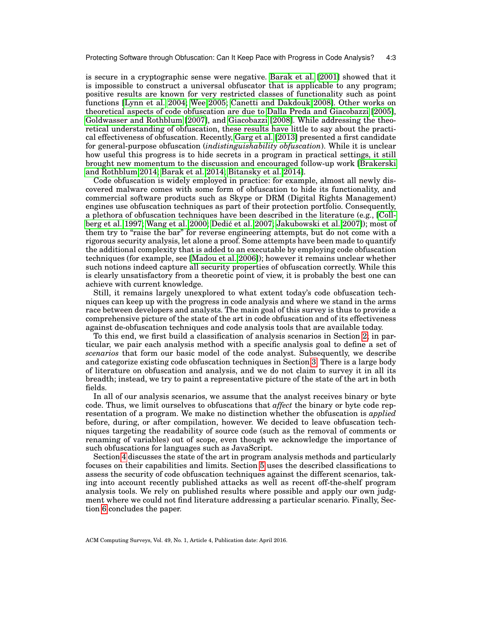is secure in a cryptographic sense were negative. [Barak et al.](#page-28-4) [\[2001\]](#page-28-4) showed that it is impossible to construct a universal obfuscator that is applicable to any program; positive results are known for very restricted classes of functionality such as point functions [\[Lynn et al. 2004;](#page-35-0) [Wee 2005;](#page-38-0) [Canetti and Dakdouk 2008\]](#page-29-1). Other works on theoretical aspects of code obfuscation are due to [Dalla Preda and Giacobazzi](#page-31-1) [\[2005\]](#page-31-1), [Goldwasser and Rothblum](#page-33-1) [\[2007\]](#page-33-1), and [Giacobazzi](#page-32-2) [\[2008\]](#page-32-2). While addressing the theoretical understanding of obfuscation, these results have little to say about the practical effectiveness of obfuscation. Recently, [Garg et al.](#page-32-3) [\[2013\]](#page-32-3) presented a first candidate for general-purpose obfuscation (*indistinguishability obfuscation*). While it is unclear how useful this progress is to hide secrets in a program in practical settings, it still brought new momentum to the discussion and encouraged follow-up work [\[Brakerski](#page-29-2) [and Rothblum 2014;](#page-29-2) [Barak et al. 2014;](#page-28-5) [Bitansky et al. 2014\]](#page-29-3).

Code obfuscation is widely employed in practice: for example, almost all newly discovered malware comes with some form of obfuscation to hide its functionality, and commercial software products such as Skype or DRM (Digital Rights Management) engines use obfuscation techniques as part of their protection portfolio. Consequently, a plethora of obfuscation techniques have been described in the literature (e.g., [\[Coll](#page-30-0)[berg et al. 1997;](#page-30-0) [Wang et al. 2000;](#page-38-1) [Dedic et al. 2007;](#page-31-2) [Jakubowski et al. 2007\]](#page-33-2)); most of ´ them try to "raise the bar" for reverse engineering attempts, but do not come with a rigorous security analysis, let alone a proof. Some attempts have been made to quantify the additional complexity that is added to an executable by employing code obfuscation techniques (for example, see [\[Madou et al. 2006\]](#page-35-1)); however it remains unclear whether such notions indeed capture all security properties of obfuscation correctly. While this is clearly unsatisfactory from a theoretic point of view, it is probably the best one can achieve with current knowledge.

Still, it remains largely unexplored to what extent today's code obfuscation techniques can keep up with the progress in code analysis and where we stand in the arms race between developers and analysts. The main goal of this survey is thus to provide a comprehensive picture of the state of the art in code obfuscation and of its effectiveness against de-obfuscation techniques and code analysis tools that are available today.

To this end, we first build a classification of analysis scenarios in Section [2;](#page-3-0) in particular, we pair each analysis method with a specific analysis goal to define a set of *scenarios* that form our basic model of the code analyst. Subsequently, we describe and categorize existing code obfuscation techniques in Section [3.](#page-6-0) There is a large body of literature on obfuscation and analysis, and we do not claim to survey it in all its breadth; instead, we try to paint a representative picture of the state of the art in both fields.

In all of our analysis scenarios, we assume that the analyst receives binary or byte code. Thus, we limit ourselves to obfuscations that *affect* the binary or byte code representation of a program. We make no distinction whether the obfuscation is *applied* before, during, or after compilation, however. We decided to leave obfuscation techniques targeting the readability of source code (such as the removal of comments or renaming of variables) out of scope, even though we acknowledge the importance of such obfuscations for languages such as JavaScript.

Section [4](#page-13-0) discusses the state of the art in program analysis methods and particularly focuses on their capabilities and limits. Section [5](#page-17-0) uses the described classifications to assess the security of code obfuscation techniques against the different scenarios, taking into account recently published attacks as well as recent off-the-shelf program analysis tools. We rely on published results where possible and apply our own judgment where we could not find literature addressing a particular scenario. Finally, Section [6](#page-27-0) concludes the paper.

ACM Computing Surveys, Vol. 49, No. 1, Article 4, Publication date: April 2016.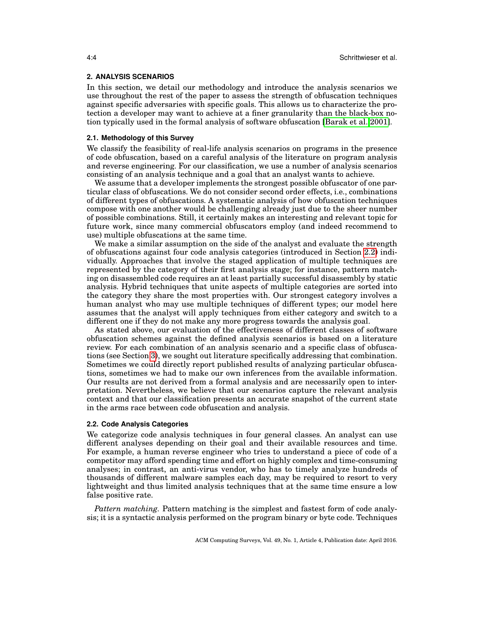### <span id="page-3-0"></span>**2. ANALYSIS SCENARIOS**

In this section, we detail our methodology and introduce the analysis scenarios we use throughout the rest of the paper to assess the strength of obfuscation techniques against specific adversaries with specific goals. This allows us to characterize the protection a developer may want to achieve at a finer granularity than the black-box notion typically used in the formal analysis of software obfuscation [\[Barak et al. 2001\]](#page-28-4).

## <span id="page-3-2"></span>**2.1. Methodology of this Survey**

We classify the feasibility of real-life analysis scenarios on programs in the presence of code obfuscation, based on a careful analysis of the literature on program analysis and reverse engineering. For our classification, we use a number of analysis scenarios consisting of an analysis technique and a goal that an analyst wants to achieve.

We assume that a developer implements the strongest possible obfuscator of one particular class of obfuscations. We do not consider second order effects, i.e., combinations of different types of obfuscations. A systematic analysis of how obfuscation techniques compose with one another would be challenging already just due to the sheer number of possible combinations. Still, it certainly makes an interesting and relevant topic for future work, since many commercial obfuscators employ (and indeed recommend to use) multiple obfuscations at the same time.

We make a similar assumption on the side of the analyst and evaluate the strength of obfuscations against four code analysis categories (introduced in Section [2.2\)](#page-3-1) individually. Approaches that involve the staged application of multiple techniques are represented by the category of their first analysis stage; for instance, pattern matching on disassembled code requires an at least partially successful disassembly by static analysis. Hybrid techniques that unite aspects of multiple categories are sorted into the category they share the most properties with. Our strongest category involves a human analyst who may use multiple techniques of different types; our model here assumes that the analyst will apply techniques from either category and switch to a different one if they do not make any more progress towards the analysis goal.

As stated above, our evaluation of the effectiveness of different classes of software obfuscation schemes against the defined analysis scenarios is based on a literature review. For each combination of an analysis scenario and a specific class of obfuscations (see Section [3\)](#page-6-0), we sought out literature specifically addressing that combination. Sometimes we could directly report published results of analyzing particular obfuscations, sometimes we had to make our own inferences from the available information. Our results are not derived from a formal analysis and are necessarily open to interpretation. Nevertheless, we believe that our scenarios capture the relevant analysis context and that our classification presents an accurate snapshot of the current state in the arms race between code obfuscation and analysis.

## <span id="page-3-1"></span>**2.2. Code Analysis Categories**

We categorize code analysis techniques in four general classes. An analyst can use different analyses depending on their goal and their available resources and time. For example, a human reverse engineer who tries to understand a piece of code of a competitor may afford spending time and effort on highly complex and time-consuming analyses; in contrast, an anti-virus vendor, who has to timely analyze hundreds of thousands of different malware samples each day, may be required to resort to very lightweight and thus limited analysis techniques that at the same time ensure a low false positive rate.

*Pattern matching.* Pattern matching is the simplest and fastest form of code analysis; it is a syntactic analysis performed on the program binary or byte code. Techniques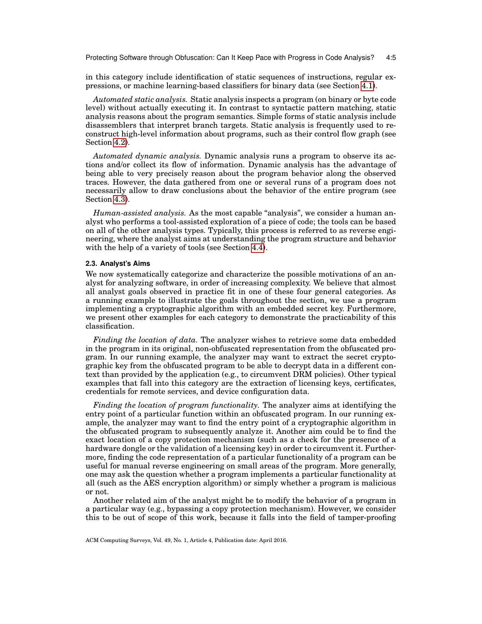in this category include identification of static sequences of instructions, regular expressions, or machine learning-based classifiers for binary data (see Section [4.1\)](#page-13-1).

*Automated static analysis.* Static analysis inspects a program (on binary or byte code level) without actually executing it. In contrast to syntactic pattern matching, static analysis reasons about the program semantics. Simple forms of static analysis include disassemblers that interpret branch targets. Static analysis is frequently used to reconstruct high-level information about programs, such as their control flow graph (see Section [4.2\)](#page-13-2).

*Automated dynamic analysis.* Dynamic analysis runs a program to observe its actions and/or collect its flow of information. Dynamic analysis has the advantage of being able to very precisely reason about the program behavior along the observed traces. However, the data gathered from one or several runs of a program does not necessarily allow to draw conclusions about the behavior of the entire program (see Section [4.3\)](#page-15-0).

*Human-assisted analysis.* As the most capable "analysis", we consider a human analyst who performs a tool-assisted exploration of a piece of code; the tools can be based on all of the other analysis types. Typically, this process is referred to as reverse engineering, where the analyst aims at understanding the program structure and behavior with the help of a variety of tools (see Section [4.4\)](#page-16-0).

# **2.3. Analyst's Aims**

We now systematically categorize and characterize the possible motivations of an analyst for analyzing software, in order of increasing complexity. We believe that almost all analyst goals observed in practice fit in one of these four general categories. As a running example to illustrate the goals throughout the section, we use a program implementing a cryptographic algorithm with an embedded secret key. Furthermore, we present other examples for each category to demonstrate the practicability of this classification.

*Finding the location of data.* The analyzer wishes to retrieve some data embedded in the program in its original, non-obfuscated representation from the obfuscated program. In our running example, the analyzer may want to extract the secret cryptographic key from the obfuscated program to be able to decrypt data in a different context than provided by the application (e.g., to circumvent DRM policies). Other typical examples that fall into this category are the extraction of licensing keys, certificates, credentials for remote services, and device configuration data.

*Finding the location of program functionality.* The analyzer aims at identifying the entry point of a particular function within an obfuscated program. In our running example, the analyzer may want to find the entry point of a cryptographic algorithm in the obfuscated program to subsequently analyze it. Another aim could be to find the exact location of a copy protection mechanism (such as a check for the presence of a hardware dongle or the validation of a licensing key) in order to circumvent it. Furthermore, finding the code representation of a particular functionality of a program can be useful for manual reverse engineering on small areas of the program. More generally, one may ask the question whether a program implements a particular functionality at all (such as the AES encryption algorithm) or simply whether a program is malicious or not.

Another related aim of the analyst might be to modify the behavior of a program in a particular way (e.g., bypassing a copy protection mechanism). However, we consider this to be out of scope of this work, because it falls into the field of tamper-proofing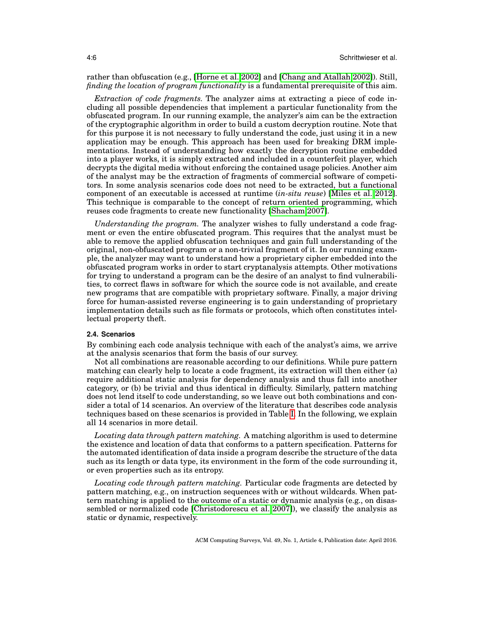rather than obfuscation (e.g., [\[Horne et al. 2002\]](#page-33-3) and [\[Chang and Atallah 2002\]](#page-30-1)). Still, *finding the location of program functionality* is a fundamental prerequisite of this aim.

*Extraction of code fragments.* The analyzer aims at extracting a piece of code including all possible dependencies that implement a particular functionality from the obfuscated program. In our running example, the analyzer's aim can be the extraction of the cryptographic algorithm in order to build a custom decryption routine. Note that for this purpose it is not necessary to fully understand the code, just using it in a new application may be enough. This approach has been used for breaking DRM implementations. Instead of understanding how exactly the decryption routine embedded into a player works, it is simply extracted and included in a counterfeit player, which decrypts the digital media without enforcing the contained usage policies. Another aim of the analyst may be the extraction of fragments of commercial software of competitors. In some analysis scenarios code does not need to be extracted, but a functional component of an executable is accessed at runtime (*in-situ reuse*) [\[Miles et al. 2012\]](#page-35-2). This technique is comparable to the concept of return oriented programming, which reuses code fragments to create new functionality [\[Shacham 2007\]](#page-37-1).

*Understanding the program.* The analyzer wishes to fully understand a code fragment or even the entire obfuscated program. This requires that the analyst must be able to remove the applied obfuscation techniques and gain full understanding of the original, non-obfuscated program or a non-trivial fragment of it. In our running example, the analyzer may want to understand how a proprietary cipher embedded into the obfuscated program works in order to start cryptanalysis attempts. Other motivations for trying to understand a program can be the desire of an analyst to find vulnerabilities, to correct flaws in software for which the source code is not available, and create new programs that are compatible with proprietary software. Finally, a major driving force for human-assisted reverse engineering is to gain understanding of proprietary implementation details such as file formats or protocols, which often constitutes intellectual property theft.

#### <span id="page-5-0"></span>**2.4. Scenarios**

By combining each code analysis technique with each of the analyst's aims, we arrive at the analysis scenarios that form the basis of our survey.

Not all combinations are reasonable according to our definitions. While pure pattern matching can clearly help to locate a code fragment, its extraction will then either (a) require additional static analysis for dependency analysis and thus fall into another category, or (b) be trivial and thus identical in difficulty. Similarly, pattern matching does not lend itself to code understanding, so we leave out both combinations and consider a total of 14 scenarios. An overview of the literature that describes code analysis techniques based on these scenarios is provided in Table [I.](#page-7-0) In the following, we explain all 14 scenarios in more detail.

*Locating data through pattern matching.* A matching algorithm is used to determine the existence and location of data that conforms to a pattern specification. Patterns for the automated identification of data inside a program describe the structure of the data such as its length or data type, its environment in the form of the code surrounding it, or even properties such as its entropy.

*Locating code through pattern matching.* Particular code fragments are detected by pattern matching, e.g., on instruction sequences with or without wildcards. When pattern matching is applied to the outcome of a static or dynamic analysis (e.g., on disassembled or normalized code [\[Christodorescu et al. 2007\]](#page-30-2)), we classify the analysis as static or dynamic, respectively.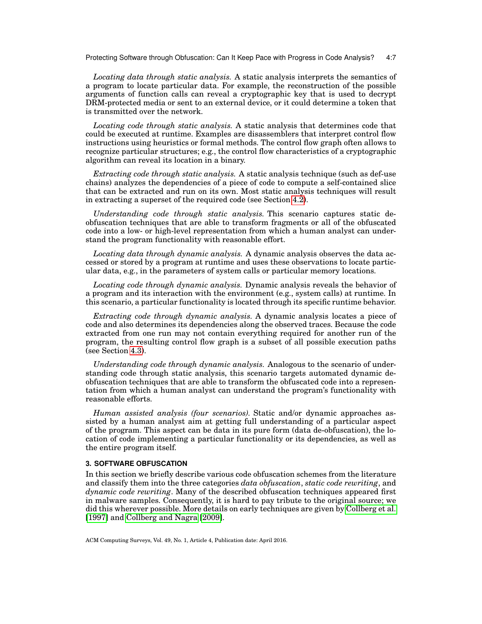*Locating data through static analysis.* A static analysis interprets the semantics of a program to locate particular data. For example, the reconstruction of the possible arguments of function calls can reveal a cryptographic key that is used to decrypt DRM-protected media or sent to an external device, or it could determine a token that is transmitted over the network.

*Locating code through static analysis.* A static analysis that determines code that could be executed at runtime. Examples are disassemblers that interpret control flow instructions using heuristics or formal methods. The control flow graph often allows to recognize particular structures; e.g., the control flow characteristics of a cryptographic algorithm can reveal its location in a binary.

*Extracting code through static analysis.* A static analysis technique (such as def-use chains) analyzes the dependencies of a piece of code to compute a self-contained slice that can be extracted and run on its own. Most static analysis techniques will result in extracting a superset of the required code (see Section [4.2\)](#page-13-2).

*Understanding code through static analysis.* This scenario captures static deobfuscation techniques that are able to transform fragments or all of the obfuscated code into a low- or high-level representation from which a human analyst can understand the program functionality with reasonable effort.

*Locating data through dynamic analysis.* A dynamic analysis observes the data accessed or stored by a program at runtime and uses these observations to locate particular data, e.g., in the parameters of system calls or particular memory locations.

*Locating code through dynamic analysis.* Dynamic analysis reveals the behavior of a program and its interaction with the environment (e.g., system calls) at runtime. In this scenario, a particular functionality is located through its specific runtime behavior.

*Extracting code through dynamic analysis.* A dynamic analysis locates a piece of code and also determines its dependencies along the observed traces. Because the code extracted from one run may not contain everything required for another run of the program, the resulting control flow graph is a subset of all possible execution paths (see Section [4.3\)](#page-15-0).

*Understanding code through dynamic analysis.* Analogous to the scenario of understanding code through static analysis, this scenario targets automated dynamic deobfuscation techniques that are able to transform the obfuscated code into a representation from which a human analyst can understand the program's functionality with reasonable efforts.

*Human assisted analysis (four scenarios).* Static and/or dynamic approaches assisted by a human analyst aim at getting full understanding of a particular aspect of the program. This aspect can be data in its pure form (data de-obfuscation), the location of code implementing a particular functionality or its dependencies, as well as the entire program itself.

#### <span id="page-6-0"></span>**3. SOFTWARE OBFUSCATION**

In this section we briefly describe various code obfuscation schemes from the literature and classify them into the three categories *data obfuscation*, *static code rewriting*, and *dynamic code rewriting*. Many of the described obfuscation techniques appeared first in malware samples. Consequently, it is hard to pay tribute to the original source; we did this wherever possible. More details on early techniques are given by [Collberg et al.](#page-30-0) [\[1997\]](#page-30-0) and [Collberg and Nagra](#page-30-3) [\[2009\]](#page-30-3).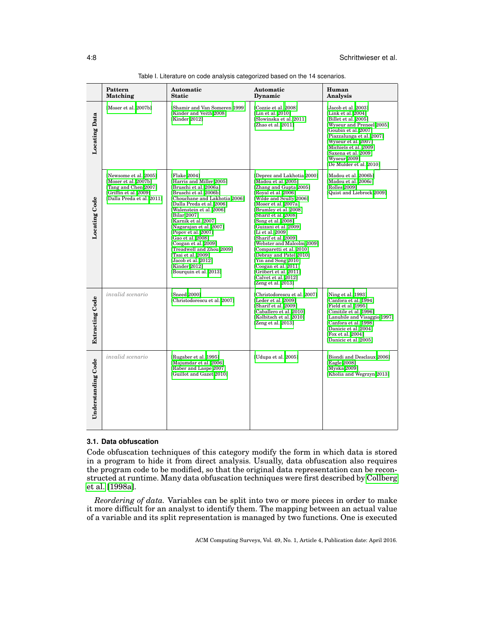|                        | <b>Pattern</b><br>Matching                                                                                                  | Automatic<br><b>Static</b>                                                                                                                                                                                                                                                                                                                                                                                                                         | Automatic<br>Dynamic                                                                                                                                                                                                                                                                                                                                                                                                                                                                                         | Human<br>Analysis                                                                                                                                                                                                                                                         |
|------------------------|-----------------------------------------------------------------------------------------------------------------------------|----------------------------------------------------------------------------------------------------------------------------------------------------------------------------------------------------------------------------------------------------------------------------------------------------------------------------------------------------------------------------------------------------------------------------------------------------|--------------------------------------------------------------------------------------------------------------------------------------------------------------------------------------------------------------------------------------------------------------------------------------------------------------------------------------------------------------------------------------------------------------------------------------------------------------------------------------------------------------|---------------------------------------------------------------------------------------------------------------------------------------------------------------------------------------------------------------------------------------------------------------------------|
| Locating Data          | [Moser et al. 2007b]                                                                                                        | [Shamir and Van Someren 1999]<br>[Kinder and Veith 2008]<br>[Kinder 2012]                                                                                                                                                                                                                                                                                                                                                                          | [Cozzie et al. 2008]<br>[Lin et al. 2010]<br>[Slowinska et al. 2011]<br>[Zhao et al. 2011]                                                                                                                                                                                                                                                                                                                                                                                                                   | [Jacob et al. 2003]<br>[Link et al. 2004]<br>[Billet et al. 2005]<br>[Wyseur and Preneel 2005]<br>[Goubin et al. 2007]<br>[Piazzalunga et al. 2007]<br>[Wyseur et al. 2007]<br>[Michiels et al. 2009]<br>[Saxena et al. 2009]<br>[Wyseur 2009]<br>[De Mulder et al. 2010] |
| Locating Code          | [Newsome et al. 2005]<br>[Moser et al. 2007b]<br>[Tang and Chen 2007]<br>[Griffin et al. 2009]<br>[Dalla Preda et al. 2011] | [Flake 2004]<br>[Harris and Miller 2005]<br>[Bruschi et al. 2006a]<br>[Bruschi et al. 2006b]<br>[Chouchane and Lakhotia 2006]<br>[Dalla Preda et al. 2006]<br>[Walenstein et al. 2006]<br>[Bilar 2007]<br>[Karnik et al. 2007]<br>[Nagarajan et al. 2007]<br>[Popov et al. 2007]<br>[Gao et al. 2008]<br>[Coogan et al. 2009]<br>[Treadwell and Zhou 2009]<br>[Tsai et al. 2009]<br>[Jacob et al. 2012]<br>[Kinder 2012]<br>[Bourquin et al. 2013] | [Deprez and Lakhotia 2000]<br>[Madou et al. 2005]<br>[Zhang and Gupta 2005]<br>[Royal et al. 2006]<br>[Wilde and Scully 2006]<br>[Moser et al. 2007a]<br>[Brumley et al. 2008]<br>[Sharif et al. 2008]<br>[Song et al. 2008]<br>[Guizani et al. 2009]<br>[Li et al. 2009]<br>[Sharif et al. 2009]<br>[Webster and Malcolm 2009]<br>[Comparetti et al. 2010]<br>[Debray and Patel 2010]<br>[Yin and Song 2010]<br>[Coogan et al. 2011]<br>[Gröbert et al. 2011]<br>[Calvet et al. 2012]<br>[Zeng et al. 2013] | [Madou et al. 2006b]<br>[Madou et al. 2006c]<br>[Rolles 2009]<br>[Quist and Liebrock 2009]                                                                                                                                                                                |
| <b>Extracting Code</b> | <i>invalid</i> scenario                                                                                                     | [Sneed 2000]<br>[Christodorescu et al. 2007]                                                                                                                                                                                                                                                                                                                                                                                                       | [Christodorescu et al. 2007]<br>[Leder et al. 2009]<br>[Sharif et al. 2009]<br>[Caballero et al. 2010]<br>[Kolbitsch et al. 2010]<br>[Zeng et al. 2013]                                                                                                                                                                                                                                                                                                                                                      | [Ning et al. 1993]<br>[Canfora et al. 1994]<br>[Field et al. 1995]<br>[Cimitile et al. 1996]<br>[Lanubile and Visaggio 1997]<br>[Canfora et al. 1998]<br>[Danicic et al. 2004]<br>[Fox et al. 2004]<br>[Danicic et al. 2005]                                              |
| Understanding Code     | invalid scenario                                                                                                            | [Rugaber et al. 1995]<br>[Majumdar et al. 2006]<br>[Raber and Laspe 2007]<br>[Guillot and Gazet 2010]                                                                                                                                                                                                                                                                                                                                              | [Udupa et al. 2005]                                                                                                                                                                                                                                                                                                                                                                                                                                                                                          | [Biondi and Desclaux 2006]<br>[Eagle 2008]<br>[Myska 2009]<br>[Kholia and Wegrzyn 2013]                                                                                                                                                                                   |

<span id="page-7-0"></span>Table I. Literature on code analysis categorized based on the 14 scenarios.

# **3.1. Data obfuscation**

Code obfuscation techniques of this category modify the form in which data is stored in a program to hide it from direct analysis. Usually, data obfuscation also requires the program code to be modified, so that the original data representation can be reconstructed at runtime. Many data obfuscation techniques were first described by [Collberg](#page-30-9) [et al.](#page-30-9) [\[1998a\]](#page-30-9).

*Reordering of data.* Variables can be split into two or more pieces in order to make it more difficult for an analyst to identify them. The mapping between an actual value of a variable and its split representation is managed by two functions. One is executed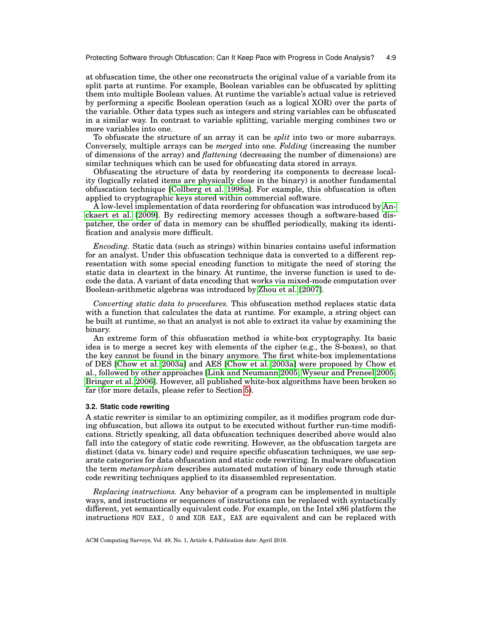at obfuscation time, the other one reconstructs the original value of a variable from its split parts at runtime. For example, Boolean variables can be obfuscated by splitting them into multiple Boolean values. At runtime the variable's actual value is retrieved by performing a specific Boolean operation (such as a logical XOR) over the parts of the variable. Other data types such as integers and string variables can be obfuscated in a similar way. In contrast to variable splitting, variable merging combines two or more variables into one.

To obfuscate the structure of an array it can be *split* into two or more subarrays. Conversely, multiple arrays can be *merged* into one. *Folding* (increasing the number of dimensions of the array) and *flattening* (decreasing the number of dimensions) are similar techniques which can be used for obfuscating data stored in arrays.

Obfuscating the structure of data by reordering its components to decrease locality (logically related items are physically close in the binary) is another fundamental obfuscation technique [\[Collberg et al. 1998a\]](#page-30-9). For example, this obfuscation is often applied to cryptographic keys stored within commercial software.

A low-level implementation of data reordering for obfuscation was introduced by [An](#page-28-8)[ckaert et al.](#page-28-8) [\[2009\]](#page-28-8). By redirecting memory accesses though a software-based dispatcher, the order of data in memory can be shuffled periodically, making its identification and analysis more difficult.

*Encoding.* Static data (such as strings) within binaries contains useful information for an analyst. Under this obfuscation technique data is converted to a different representation with some special encoding function to mitigate the need of storing the static data in cleartext in the binary. At runtime, the inverse function is used to decode the data. A variant of data encoding that works via mixed-mode computation over Boolean-arithmetic algebras was introduced by [Zhou et al.](#page-39-3) [\[2007\]](#page-39-3).

*Converting static data to procedures.* This obfuscation method replaces static data with a function that calculates the data at runtime. For example, a string object can be built at runtime, so that an analyst is not able to extract its value by examining the binary.

An extreme form of this obfuscation method is white-box cryptography. Its basic idea is to merge a secret key with elements of the cipher (e.g., the S-boxes), so that the key cannot be found in the binary anymore. The first white-box implementations of DES [\[Chow et al. 2003a\]](#page-30-10) and AES [\[Chow et al. 2003a\]](#page-30-10) were proposed by Chow et al., followed by other approaches [\[Link and Neumann 2005;](#page-34-8) [Wyseur and Preneel 2005;](#page-38-2) [Bringer et al. 2006\]](#page-29-13). However, all published white-box algorithms have been broken so far (for more details, please refer to Section [5\)](#page-17-0).

## <span id="page-8-0"></span>**3.2. Static code rewriting**

A static rewriter is similar to an optimizing compiler, as it modifies program code during obfuscation, but allows its output to be executed without further run-time modifications. Strictly speaking, all data obfuscation techniques described above would also fall into the category of static code rewriting. However, as the obfuscation targets are distinct (data vs. binary code) and require specific obfuscation techniques, we use separate categories for data obfuscation and static code rewriting. In malware obfuscation the term *metamorphism* describes automated mutation of binary code through static code rewriting techniques applied to its disassembled representation.

*Replacing instructions.* Any behavior of a program can be implemented in multiple ways, and instructions or sequences of instructions can be replaced with syntactically different, yet semantically equivalent code. For example, on the Intel x86 platform the instructions MOV EAX, 0 and XOR EAX, EAX are equivalent and can be replaced with

ACM Computing Surveys, Vol. 49, No. 1, Article 4, Publication date: April 2016.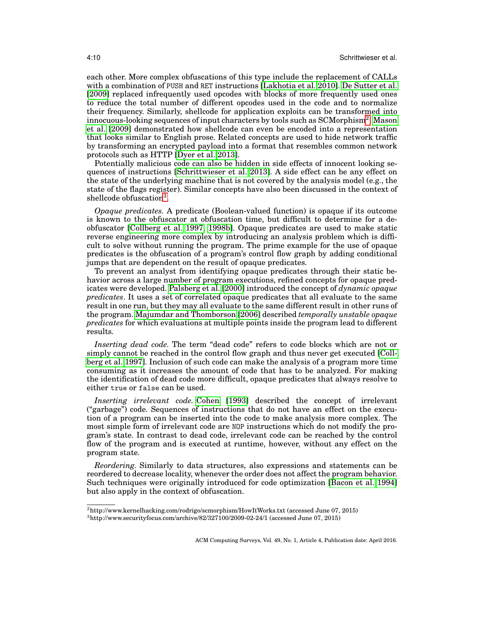each other. More complex obfuscations of this type include the replacement of CALLs with a combination of PUSH and RET instructions [\[Lakhotia et al. 2010\]](#page-34-9). [De Sutter et al.](#page-31-12) [\[2009\]](#page-31-12) replaced infrequently used opcodes with blocks of more frequently used ones to reduce the total number of different opcodes used in the code and to normalize their frequency. Similarly, shellcode for application exploits can be transformed into innocuous-looking sequences of input characters by tools such as  $\text{SCMorphism}^2$  $\text{SCMorphism}^2$ . [Mason](#page-35-10) [et al.](#page-35-10) [\[2009\]](#page-35-10) demonstrated how shellcode can even be encoded into a representation that looks similar to English prose. Related concepts are used to hide network traffic by transforming an encrypted payload into a format that resembles common network protocols such as HTTP [\[Dyer et al. 2013\]](#page-31-13).

Potentially malicious code can also be hidden in side effects of innocent looking sequences of instructions [\[Schrittwieser et al. 2013\]](#page-36-13). A side effect can be any effect on the state of the underlying machine that is not covered by the analysis model (e.g., the state of the flags register). Similar concepts have also been discussed in the context of shellcode obfuscation<sup>[3](#page-9-1)</sup>.

*Opaque predicates.* A predicate (Boolean-valued function) is opaque if its outcome is known to the obfuscator at obfuscation time, but difficult to determine for a deobfuscator [\[Collberg et al. 1997,](#page-30-0) [1998b\]](#page-30-11). Opaque predicates are used to make static reverse engineering more complex by introducing an analysis problem which is difficult to solve without running the program. The prime example for the use of opaque predicates is the obfuscation of a program's control flow graph by adding conditional jumps that are dependent on the result of opaque predicates.

To prevent an analyst from identifying opaque predicates through their static behavior across a large number of program executions, refined concepts for opaque predicates were developed. [Palsberg et al.](#page-36-14) [\[2000\]](#page-36-14) introduced the concept of *dynamic opaque predicates*. It uses a set of correlated opaque predicates that all evaluate to the same result in one run, but they may all evaluate to the same different result in other runs of the program. [Majumdar and Thomborson](#page-35-11) [\[2006\]](#page-35-11) described *temporally unstable opaque predicates* for which evaluations at multiple points inside the program lead to different results.

*Inserting dead code.* The term "dead code" refers to code blocks which are not or simply cannot be reached in the control flow graph and thus never get executed [\[Coll](#page-30-0)[berg et al. 1997\]](#page-30-0). Inclusion of such code can make the analysis of a program more time consuming as it increases the amount of code that has to be analyzed. For making the identification of dead code more difficult, opaque predicates that always resolve to either true or false can be used.

*Inserting irrelevant code.* [Cohen](#page-30-12) [\[1993\]](#page-30-12) described the concept of irrelevant ("garbage") code. Sequences of instructions that do not have an effect on the execution of a program can be inserted into the code to make analysis more complex. The most simple form of irrelevant code are NOP instructions which do not modify the program's state. In contrast to dead code, irrelevant code can be reached by the control flow of the program and is executed at runtime, however, without any effect on the program state.

*Reordering.* Similarly to data structures, also expressions and statements can be reordered to decrease locality, whenever the order does not affect the program behavior. Such techniques were originally introduced for code optimization [\[Bacon et al. 1994\]](#page-28-9) but also apply in the context of obfuscation.

<span id="page-9-1"></span><span id="page-9-0"></span> $^2$ http://www.kernelhacking.com/rodrigo/scmorphism/HowItWorks.txt (accessed June 07, 2015)  $3$ http://www.securityfocus.com/archive/82/327100/2009-02-24/1 (accessed June 07, 2015)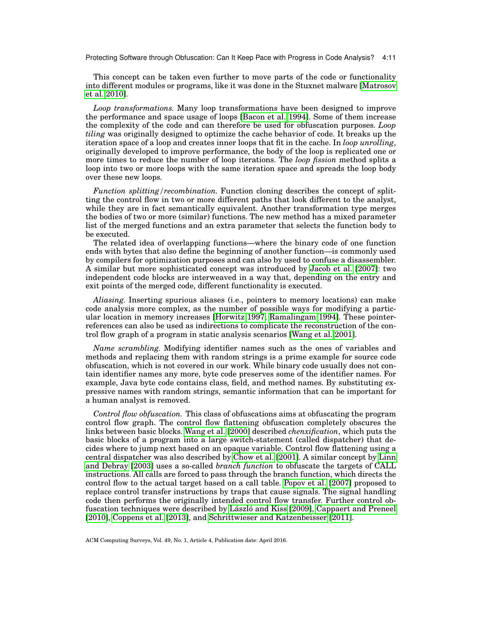This concept can be taken even further to move parts of the code or functionality into different modules or programs, like it was done in the Stuxnet malware [\[Matrosov](#page-35-12) [et al. 2010\]](#page-35-12).

*Loop transformations.* Many loop transformations have been designed to improve the performance and space usage of loops [\[Bacon et al. 1994\]](#page-28-9). Some of them increase the complexity of the code and can therefore be used for obfuscation purposes. *Loop tiling* was originally designed to optimize the cache behavior of code. It breaks up the iteration space of a loop and creates inner loops that fit in the cache. In *loop unrolling*, originally developed to improve performance, the body of the loop is replicated one or more times to reduce the number of loop iterations. The *loop fission* method splits a loop into two or more loops with the same iteration space and spreads the loop body over these new loops.

*Function splitting/recombination.* Function cloning describes the concept of splitting the control flow in two or more different paths that look different to the analyst, while they are in fact semantically equivalent. Another transformation type merges the bodies of two or more (similar) functions. The new method has a mixed parameter list of the merged functions and an extra parameter that selects the function body to be executed.

The related idea of overlapping functions—where the binary code of one function ends with bytes that also define the beginning of another function—is commonly used by compilers for optimization purposes and can also by used to confuse a disassembler. A similar but more sophisticated concept was introduced by [Jacob et al.](#page-33-14) [\[2007\]](#page-33-14): two independent code blocks are interweaved in a way that, depending on the entry and exit points of the merged code, different functionality is executed.

*Aliasing.* Inserting spurious aliases (i.e., pointers to memory locations) can make code analysis more complex, as the number of possible ways for modifying a particular location in memory increases [\[Horwitz 1997;](#page-33-15) [Ramalingam 1994\]](#page-36-15). These pointerreferences can also be used as indirections to complicate the reconstruction of the control flow graph of a program in static analysis scenarios [\[Wang et al. 2001\]](#page-38-12).

*Name scrambling.* Modifying identifier names such as the ones of variables and methods and replacing them with random strings is a prime example for source code obfuscation, which is not covered in our work. While binary code usually does not contain identifier names any more, byte code preserves some of the identifier names. For example, Java byte code contains class, field, and method names. By substituting expressive names with random strings, semantic information that can be important for a human analyst is removed.

*Control flow obfuscation.* This class of obfuscations aims at obfuscating the program control flow graph. The control flow flattening obfuscation completely obscures the links between basic blocks. [Wang et al.](#page-38-1) [\[2000\]](#page-38-1) described *chenxification*, which puts the basic blocks of a program into a large switch-statement (called dispatcher) that decides where to jump next based on an opaque variable. Control flow flattening using a central dispatcher was also described by [Chow et al.](#page-30-13) [\[2001\]](#page-30-13). A similar concept by [Linn](#page-34-10) [and Debray](#page-34-10) [\[2003\]](#page-34-10) uses a so-called *branch function* to obfuscate the targets of CALL instructions. All calls are forced to pass through the branch function, which directs the control flow to the actual target based on a call table. [Popov et al.](#page-36-5) [\[2007\]](#page-36-5) proposed to replace control transfer instructions by traps that cause signals. The signal handling code then performs the originally intended control flow transfer. Further control ob-fuscation techniques were described by László and Kiss [\[2009\]](#page-34-11), [Cappaert and Preneel](#page-30-14) [\[2010\]](#page-30-14), [Coppens et al.](#page-31-14) [\[2013\]](#page-31-14), and [Schrittwieser and Katzenbeisser](#page-36-16) [\[2011\]](#page-36-16).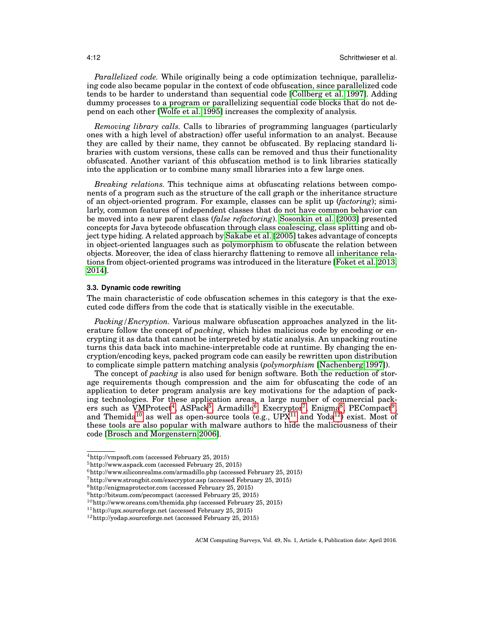*Parallelized code.* While originally being a code optimization technique, parallelizing code also became popular in the context of code obfuscation, since parallelized code tends to be harder to understand than sequential code [\[Collberg et al. 1997\]](#page-30-0). Adding dummy processes to a program or parallelizing sequential code blocks that do not depend on each other [\[Wolfe et al. 1995\]](#page-38-13) increases the complexity of analysis.

*Removing library calls.* Calls to libraries of programming languages (particularly ones with a high level of abstraction) offer useful information to an analyst. Because they are called by their name, they cannot be obfuscated. By replacing standard libraries with custom versions, these calls can be removed and thus their functionality obfuscated. Another variant of this obfuscation method is to link libraries statically into the application or to combine many small libraries into a few large ones.

*Breaking relations.* This technique aims at obfuscating relations between components of a program such as the structure of the call graph or the inheritance structure of an object-oriented program. For example, classes can be split up (*factoring*); similarly, common features of independent classes that do not have common behavior can be moved into a new parent class (*false refactoring*). [Sosonkin et al.](#page-37-9) [\[2003\]](#page-37-9) presented concepts for Java bytecode obfuscation through class coalescing, class splitting and object type hiding. A related approach by [Sakabe et al.](#page-36-17) [\[2005\]](#page-36-17) takes advantage of concepts in object-oriented languages such as polymorphism to obfuscate the relation between objects. Moreover, the idea of class hierarchy flattening to remove all inheritance relations from object-oriented programs was introduced in the literature [\[Foket et al. 2013,](#page-32-8) [2014\]](#page-32-9).

#### **3.3. Dynamic code rewriting**

The main characteristic of code obfuscation schemes in this category is that the executed code differs from the code that is statically visible in the executable.

*Packing/Encryption.* Various malware obfuscation approaches analyzed in the literature follow the concept of *packing*, which hides malicious code by encoding or encrypting it as data that cannot be interpreted by static analysis. An unpacking routine turns this data back into machine-interpretable code at runtime. By changing the encryption/encoding keys, packed program code can easily be rewritten upon distribution to complicate simple pattern matching analysis (*polymorphism* [\[Nachenberg 1997\]](#page-36-0)).

The concept of *packing* is also used for benign software. Both the reduction of storage requirements though compression and the aim for obfuscating the code of an application to deter program analysis are key motivations for the adaption of packing technologies. For these application areas, a large number of commercial pack-ers such as VMProtect<sup>[4](#page-11-0)</sup>, ASPack<sup>[5](#page-11-1)</sup>, Armadillo<sup>[6](#page-11-2)</sup>, Execryptor<sup>[7](#page-11-3)</sup>, Enigma<sup>[8](#page-11-4)</sup>, PECompact<sup>[9](#page-11-5)</sup>, and Themida<sup>[10](#page-11-6)</sup> as well as open-source tools (e.g.,  $UPX^{11}$  $UPX^{11}$  $UPX^{11}$  and Yoda<sup>[12](#page-11-8)</sup>) exist. Most of these tools are also popular with malware authors to hide the maliciousness of their code [\[Brosch and Morgenstern 2006\]](#page-29-14).

<span id="page-11-0"></span><sup>4</sup>http://vmpsoft.com (accessed February 25, 2015)

<span id="page-11-1"></span><sup>5</sup>http://www.aspack.com (accessed February 25, 2015)

<span id="page-11-2"></span> $6$ http://www.siliconrealms.com/armadillo.php (accessed February 25, 2015)

<span id="page-11-3"></span><sup>7</sup>http://www.strongbit.com/execryptor.asp (accessed February 25, 2015)

<span id="page-11-4"></span><sup>8</sup>http://enigmaprotector.com (accessed February 25, 2015)

<span id="page-11-5"></span><sup>9</sup>http://bitsum.com/pecompact (accessed February 25, 2015)

<span id="page-11-6"></span> $^{10}\rm{http://www.oreans.com/thenida.php}$  (accessed February 25, 2015)

<span id="page-11-7"></span><sup>11</sup>http://upx.sourceforge.net (accessed February 25, 2015)

<span id="page-11-8"></span> $12$ http://yodap.sourceforge.net (accessed February 25, 2015)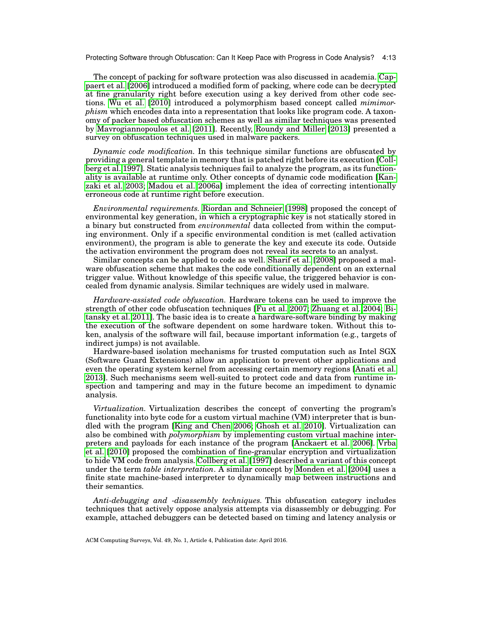The concept of packing for software protection was also discussed in academia. [Cap](#page-30-15)[paert et al.](#page-30-15) [\[2006\]](#page-30-15) introduced a modified form of packing, where code can be decrypted at fine granularity right before execution using a key derived from other code sections. [Wu et al.](#page-38-14) [\[2010\]](#page-38-14) introduced a polymorphism based concept called *mimimorphism* which encodes data into a representation that looks like program code. A taxonomy of packer based obfuscation schemes as well as similar techniques was presented by [Mavrogiannopoulos et al.](#page-35-13) [\[2011\]](#page-35-13). Recently, [Roundy and Miller](#page-36-18) [\[2013\]](#page-36-18) presented a survey on obfuscation techniques used in malware packers.

*Dynamic code modification.* In this technique similar functions are obfuscated by providing a general template in memory that is patched right before its execution [\[Coll](#page-30-0)[berg et al. 1997\]](#page-30-0). Static analysis techniques fail to analyze the program, as its functionality is available at runtime only. Other concepts of dynamic code modification [\[Kan](#page-33-16)[zaki et al. 2003;](#page-33-16) [Madou et al. 2006a\]](#page-35-14) implement the idea of correcting intentionally erroneous code at runtime right before execution.

*Environmental requirements.* [Riordan and Schneier](#page-36-19) [\[1998\]](#page-36-19) proposed the concept of environmental key generation, in which a cryptographic key is not statically stored in a binary but constructed from *environmental* data collected from within the computing environment. Only if a specific environmental condition is met (called activation environment), the program is able to generate the key and execute its code. Outside the activation environment the program does not reveal its secrets to an analyst.

Similar concepts can be applied to code as well. [Sharif et al.](#page-37-10) [\[2008\]](#page-37-10) proposed a malware obfuscation scheme that makes the code conditionally dependent on an external trigger value. Without knowledge of this specific value, the triggered behavior is concealed from dynamic analysis. Similar techniques are widely used in malware.

*Hardware-assisted code obfuscation.* Hardware tokens can be used to improve the strength of other code obfuscation techniques [\[Fu et al. 2007;](#page-32-10) [Zhuang et al. 2004;](#page-39-4) [Bi](#page-29-15)[tansky et al. 2011\]](#page-29-15). The basic idea is to create a hardware-software binding by making the execution of the software dependent on some hardware token. Without this token, analysis of the software will fail, because important information (e.g., targets of indirect jumps) is not available.

Hardware-based isolation mechanisms for trusted computation such as Intel SGX (Software Guard Extensions) allow an application to prevent other applications and even the operating system kernel from accessing certain memory regions [\[Anati et al.](#page-28-10) [2013\]](#page-28-10). Such mechanisms seem well-suited to protect code and data from runtime inspection and tampering and may in the future become an impediment to dynamic analysis.

*Virtualization.* Virtualization describes the concept of converting the program's functionality into byte code for a custom virtual machine (VM) interpreter that is bundled with the program [\[King and Chen 2006;](#page-34-12) [Ghosh et al. 2010\]](#page-32-11). Virtualization can also be combined with *polymorphism* by implementing custom virtual machine interpreters and payloads for each instance of the program [\[Anckaert et al. 2006\]](#page-28-2). [Vrba](#page-38-15) [et al.](#page-38-15) [\[2010\]](#page-38-15) proposed the combination of fine-granular encryption and virtualization to hide VM code from analysis. [Collberg et al.](#page-30-0) [\[1997\]](#page-30-0) described a variant of this concept under the term *table interpretation*. A similar concept by [Monden et al.](#page-35-15) [\[2004\]](#page-35-15) uses a finite state machine-based interpreter to dynamically map between instructions and their semantics.

*Anti-debugging and -disassembly techniques.* This obfuscation category includes techniques that actively oppose analysis attempts via disassembly or debugging. For example, attached debuggers can be detected based on timing and latency analysis or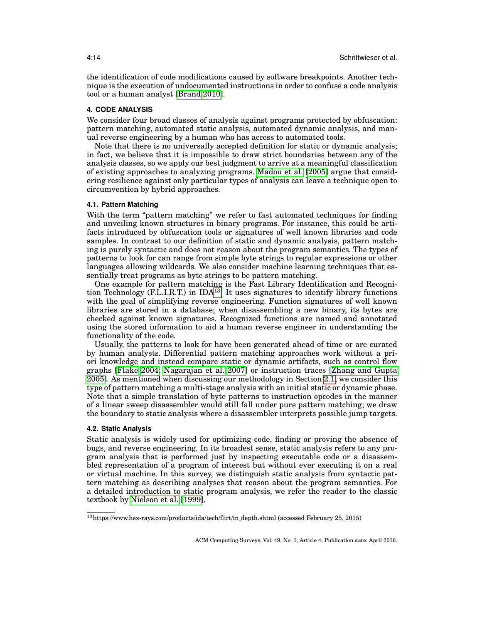the identification of code modifications caused by software breakpoints. Another technique is the execution of undocumented instructions in order to confuse a code analysis tool or a human analyst [\[Brand 2010\]](#page-29-16).

## <span id="page-13-0"></span>**4. CODE ANALYSIS**

We consider four broad classes of analysis against programs protected by obfuscation: pattern matching, automated static analysis, automated dynamic analysis, and manual reverse engineering by a human who has access to automated tools.

Note that there is no universally accepted definition for static or dynamic analysis; in fact, we believe that it is impossible to draw strict boundaries between any of the analysis classes, so we apply our best judgment to arrive at a meaningful classification of existing approaches to analyzing programs. [Madou et al.](#page-35-5) [\[2005\]](#page-35-5) argue that considering resilience against only particular types of analysis can leave a technique open to circumvention by hybrid approaches.

## <span id="page-13-1"></span>**4.1. Pattern Matching**

With the term "pattern matching" we refer to fast automated techniques for finding and unveiling known structures in binary programs. For instance, this could be artifacts introduced by obfuscation tools or signatures of well known libraries and code samples. In contrast to our definition of static and dynamic analysis, pattern matching is purely syntactic and does not reason about the program semantics. The types of patterns to look for can range from simple byte strings to regular expressions or other languages allowing wildcards. We also consider machine learning techniques that essentially treat programs as byte strings to be pattern matching.

One example for pattern matching is the Fast Library Identification and Recognition Technology (F.L.I.R.T.) in  $IDA<sup>13</sup>$  $IDA<sup>13</sup>$  $IDA<sup>13</sup>$ . It uses signatures to identify library functions with the goal of simplifying reverse engineering. Function signatures of well known libraries are stored in a database; when disassembling a new binary, its bytes are checked against known signatures. Recognized functions are named and annotated using the stored information to aid a human reverse engineer in understanding the functionality of the code.

Usually, the patterns to look for have been generated ahead of time or are curated by human analysts. Differential pattern matching approaches work without a priori knowledge and instead compare static or dynamic artifacts, such as control flow graphs [\[Flake 2004;](#page-32-4) [Nagarajan et al. 2007\]](#page-36-4) or instruction traces [\[Zhang and Gupta](#page-39-1) [2005\]](#page-39-1). As mentioned when discussing our methodology in Section [2.1,](#page-3-2) we consider this type of pattern matching a multi-stage analysis with an initial static or dynamic phase. Note that a simple translation of byte patterns to instruction opcodes in the manner of a linear sweep disassembler would still fall under pure pattern matching; we draw the boundary to static analysis where a disassembler interprets possible jump targets.

#### <span id="page-13-2"></span>**4.2. Static Analysis**

Static analysis is widely used for optimizing code, finding or proving the absence of bugs, and reverse engineering. In its broadest sense, static analysis refers to any program analysis that is performed just by inspecting executable code or a disassembled representation of a program of interest but without ever executing it on a real or virtual machine. In this survey, we distinguish static analysis from syntactic pattern matching as describing analyses that reason about the program semantics. For a detailed introduction to static program analysis, we refer the reader to the classic textbook by [Nielson et al.](#page-36-20) [\[1999\]](#page-36-20).

<span id="page-13-3"></span> $13$ https://www.hex-rays.com/products/ida/tech/flirt/in\_depth.shtml (accessed February 25, 2015)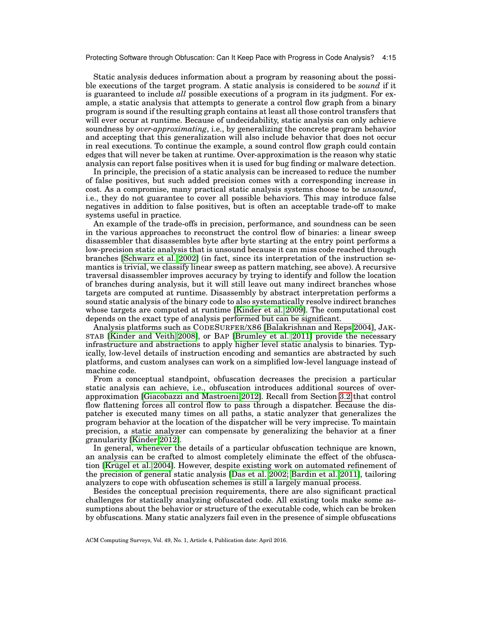Static analysis deduces information about a program by reasoning about the possible executions of the target program. A static analysis is considered to be *sound* if it is guaranteed to include *all* possible executions of a program in its judgment. For example, a static analysis that attempts to generate a control flow graph from a binary program is sound if the resulting graph contains at least all those control transfers that will ever occur at runtime. Because of undecidability, static analysis can only achieve soundness by *over-approximating*, i.e., by generalizing the concrete program behavior and accepting that this generalization will also include behavior that does not occur in real executions. To continue the example, a sound control flow graph could contain edges that will never be taken at runtime. Over-approximation is the reason why static analysis can report false positives when it is used for bug finding or malware detection.

In principle, the precision of a static analysis can be increased to reduce the number of false positives, but such added precision comes with a corresponding increase in cost. As a compromise, many practical static analysis systems choose to be *unsound*, i.e., they do not guarantee to cover all possible behaviors. This may introduce false negatives in addition to false positives, but is often an acceptable trade-off to make systems useful in practice.

An example of the trade-offs in precision, performance, and soundness can be seen in the various approaches to reconstruct the control flow of binaries: a linear sweep disassembler that disassembles byte after byte starting at the entry point performs a low-precision static analysis that is unsound because it can miss code reached through branches [\[Schwarz et al. 2002\]](#page-37-11) (in fact, since its interpretation of the instruction semantics is trivial, we classify linear sweep as pattern matching, see above). A recursive traversal disassembler improves accuracy by trying to identify and follow the location of branches during analysis, but it will still leave out many indirect branches whose targets are computed at runtime. Disassembly by abstract interpretation performs a sound static analysis of the binary code to also systematically resolve indirect branches whose targets are computed at runtime [\[Kinder et al. 2009\]](#page-34-13). The computational cost depends on the exact type of analysis performed but can be significant.

Analysis platforms such as CODESURFER/X86 [\[Balakrishnan and Reps 2004\]](#page-28-11), JAK-STAB [\[Kinder and Veith 2008\]](#page-34-0), or BAP [\[Brumley et al. 2011\]](#page-29-0) provide the necessary infrastructure and abstractions to apply higher level static analysis to binaries. Typically, low-level details of instruction encoding and semantics are abstracted by such platforms, and custom analyses can work on a simplified low-level language instead of machine code.

From a conceptual standpoint, obfuscation decreases the precision a particular static analysis can achieve, i.e., obfuscation introduces additional sources of overapproximation [\[Giacobazzi and Mastroeni 2012\]](#page-32-12). Recall from Section [3.2](#page-8-0) that control flow flattening forces all control flow to pass through a dispatcher. Because the dispatcher is executed many times on all paths, a static analyzer that generalizes the program behavior at the location of the dispatcher will be very imprecise. To maintain precision, a static analyzer can compensate by generalizing the behavior at a finer granularity [\[Kinder 2012\]](#page-34-1).

In general, whenever the details of a particular obfuscation technique are known, an analysis can be crafted to almost completely eliminate the effect of the obfuscation [Krügel et al. 2004]. However, despite existing work on automated refinement of the precision of general static analysis [\[Das et al. 2002;](#page-31-15) [Bardin et al. 2011\]](#page-28-12), tailoring analyzers to cope with obfuscation schemes is still a largely manual process.

Besides the conceptual precision requirements, there are also significant practical challenges for statically analyzing obfuscated code. All existing tools make some assumptions about the behavior or structure of the executable code, which can be broken by obfuscations. Many static analyzers fail even in the presence of simple obfuscations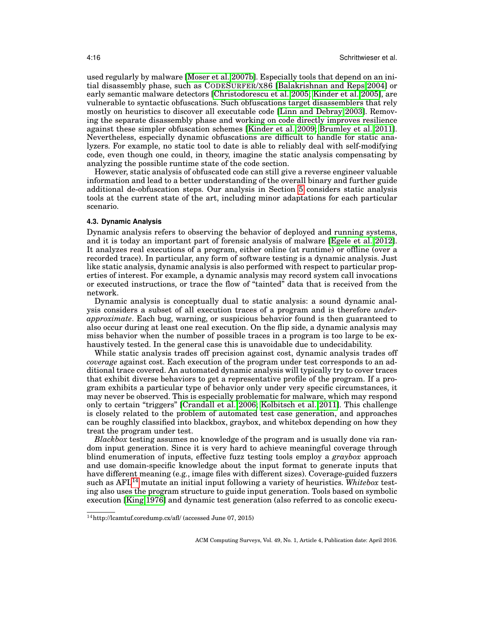used regularly by malware [\[Moser et al. 2007b\]](#page-35-3). Especially tools that depend on an initial disassembly phase, such as CODESURFER/X86 [\[Balakrishnan and Reps 2004\]](#page-28-11) or early semantic malware detectors [\[Christodorescu et al. 2005;](#page-30-16) [Kinder et al. 2005\]](#page-34-15), are vulnerable to syntactic obfuscations. Such obfuscations target disassemblers that rely mostly on heuristics to discover all executable code [\[Linn and Debray 2003\]](#page-34-10). Removing the separate disassembly phase and working on code directly improves resilience against these simpler obfuscation schemes [\[Kinder et al. 2009;](#page-34-13) [Brumley et al. 2011\]](#page-29-0). Nevertheless, especially dynamic obfuscations are difficult to handle for static analyzers. For example, no static tool to date is able to reliably deal with self-modifying code, even though one could, in theory, imagine the static analysis compensating by analyzing the possible runtime state of the code section.

However, static analysis of obfuscated code can still give a reverse engineer valuable information and lead to a better understanding of the overall binary and further guide additional de-obfuscation steps. Our analysis in Section [5](#page-17-0) considers static analysis tools at the current state of the art, including minor adaptations for each particular scenario.

## <span id="page-15-0"></span>**4.3. Dynamic Analysis**

Dynamic analysis refers to observing the behavior of deployed and running systems, and it is today an important part of forensic analysis of malware [\[Egele et al. 2012\]](#page-32-13). It analyzes real executions of a program, either online (at runtime) or offline (over a recorded trace). In particular, any form of software testing is a dynamic analysis. Just like static analysis, dynamic analysis is also performed with respect to particular properties of interest. For example, a dynamic analysis may record system call invocations or executed instructions, or trace the flow of "tainted" data that is received from the network.

Dynamic analysis is conceptually dual to static analysis: a sound dynamic analysis considers a subset of all execution traces of a program and is therefore *underapproximate*. Each bug, warning, or suspicious behavior found is then guaranteed to also occur during at least one real execution. On the flip side, a dynamic analysis may miss behavior when the number of possible traces in a program is too large to be exhaustively tested. In the general case this is unavoidable due to undecidability.

While static analysis trades off precision against cost, dynamic analysis trades off *coverage* against cost. Each execution of the program under test corresponds to an additional trace covered. An automated dynamic analysis will typically try to cover traces that exhibit diverse behaviors to get a representative profile of the program. If a program exhibits a particular type of behavior only under very specific circumstances, it may never be observed. This is especially problematic for malware, which may respond only to certain "triggers" [\[Crandall et al. 2006;](#page-31-16) [Kolbitsch et al. 2011\]](#page-34-16). This challenge is closely related to the problem of automated test case generation, and approaches can be roughly classified into blackbox, graybox, and whitebox depending on how they treat the program under test.

*Blackbox* testing assumes no knowledge of the program and is usually done via random input generation. Since it is very hard to achieve meaningful coverage through blind enumeration of inputs, effective fuzz testing tools employ a *graybox* approach and use domain-specific knowledge about the input format to generate inputs that have different meaning (e.g., image files with different sizes). Coverage-guided fuzzers such as AFL[14](#page-15-1) mutate an initial input following a variety of heuristics. *Whitebox* testing also uses the program structure to guide input generation. Tools based on symbolic execution [\[King 1976\]](#page-34-17) and dynamic test generation (also referred to as concolic execu-

<span id="page-15-1"></span><sup>14</sup>http://lcamtuf.coredump.cx/afl/ (accessed June 07, 2015)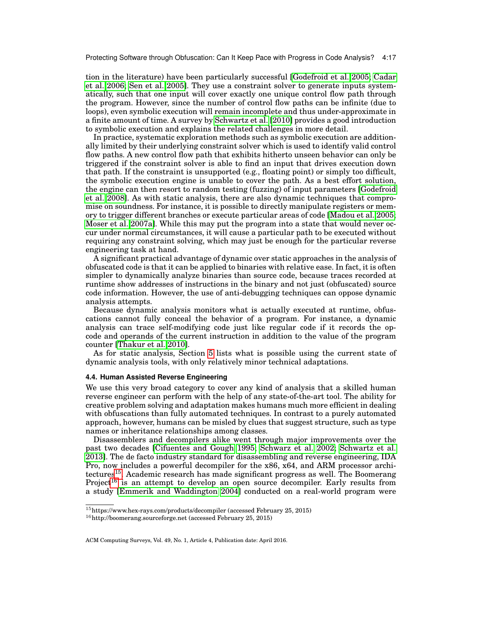tion in the literature) have been particularly successful [\[Godefroid et al. 2005;](#page-32-14) [Cadar](#page-29-17) [et al. 2006;](#page-29-17) [Sen et al. 2005\]](#page-37-12). They use a constraint solver to generate inputs systematically, such that one input will cover exactly one unique control flow path through the program. However, since the number of control flow paths can be infinite (due to loops), even symbolic execution will remain incomplete and thus under-approximate in a finite amount of time. A survey by [Schwartz et al.](#page-37-13) [\[2010\]](#page-37-13) provides a good introduction to symbolic execution and explains the related challenges in more detail.

In practice, systematic exploration methods such as symbolic execution are additionally limited by their underlying constraint solver which is used to identify valid control flow paths. A new control flow path that exhibits hitherto unseen behavior can only be triggered if the constraint solver is able to find an input that drives execution down that path. If the constraint is unsupported (e.g., floating point) or simply too difficult, the symbolic execution engine is unable to cover the path. As a best effort solution, the engine can then resort to random testing (fuzzing) of input parameters [\[Godefroid](#page-32-15) [et al. 2008\]](#page-32-15). As with static analysis, there are also dynamic techniques that compromise on soundness. For instance, it is possible to directly manipulate registers or memory to trigger different branches or execute particular areas of code [\[Madou et al. 2005;](#page-35-5) [Moser et al. 2007a\]](#page-35-6). While this may put the program into a state that would never occur under normal circumstances, it will cause a particular path to be executed without requiring any constraint solving, which may just be enough for the particular reverse engineering task at hand.

A significant practical advantage of dynamic over static approaches in the analysis of obfuscated code is that it can be applied to binaries with relative ease. In fact, it is often simpler to dynamically analyze binaries than source code, because traces recorded at runtime show addresses of instructions in the binary and not just (obfuscated) source code information. However, the use of anti-debugging techniques can oppose dynamic analysis attempts.

Because dynamic analysis monitors what is actually executed at runtime, obfuscations cannot fully conceal the behavior of a program. For instance, a dynamic analysis can trace self-modifying code just like regular code if it records the opcode and operands of the current instruction in addition to the value of the program counter [\[Thakur et al. 2010\]](#page-37-14).

As for static analysis, Section [5](#page-17-0) lists what is possible using the current state of dynamic analysis tools, with only relatively minor technical adaptations.

# <span id="page-16-0"></span>**4.4. Human Assisted Reverse Engineering**

We use this very broad category to cover any kind of analysis that a skilled human reverse engineer can perform with the help of any state-of-the-art tool. The ability for creative problem solving and adaptation makes humans much more efficient in dealing with obfuscations than fully automated techniques. In contrast to a purely automated approach, however, humans can be misled by clues that suggest structure, such as type names or inheritance relationships among classes.

Disassemblers and decompilers alike went through major improvements over the past two decades [\[Cifuentes and Gough 1995;](#page-30-17) [Schwarz et al. 2002;](#page-37-11) [Schwartz et al.](#page-37-15) [2013\]](#page-37-15). The de facto industry standard for disassembling and reverse engineering, IDA Pro, now includes a powerful decompiler for the x86, x64, and ARM processor archi-tectures<sup>[15](#page-16-1)</sup>. Academic research has made significant progress as well. The Boomerang Project<sup>[16](#page-16-2)</sup> is an attempt to develop an open source decompiler. Early results from a study [\[Emmerik and Waddington 2004\]](#page-32-16) conducted on a real-world program were

<span id="page-16-1"></span> $^{15}{\rm https://www.hex-rays.com/products/decompiler}$  (accessed February 25, 2015)

<span id="page-16-2"></span><sup>16</sup>http://boomerang.sourceforge.net (accessed February 25, 2015)

ACM Computing Surveys, Vol. 49, No. 1, Article 4, Publication date: April 2016.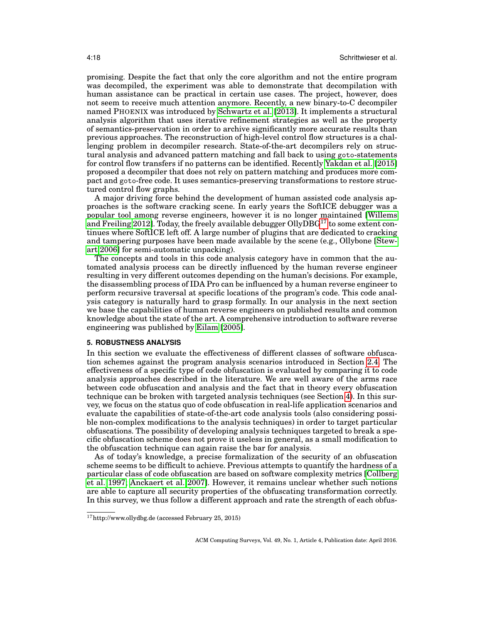promising. Despite the fact that only the core algorithm and not the entire program was decompiled, the experiment was able to demonstrate that decompilation with human assistance can be practical in certain use cases. The project, however, does not seem to receive much attention anymore. Recently, a new binary-to-C decompiler named PHOENIX was introduced by [Schwartz et al.](#page-37-15) [\[2013\]](#page-37-15). It implements a structural analysis algorithm that uses iterative refinement strategies as well as the property of semantics-preservation in order to archive significantly more accurate results than previous approaches. The reconstruction of high-level control flow structures is a challenging problem in decompiler research. State-of-the-art decompilers rely on structural analysis and advanced pattern matching and fall back to using goto-statements for control flow transfers if no patterns can be identified. Recently [Yakdan et al.](#page-38-16) [\[2015\]](#page-38-16) proposed a decompiler that does not rely on pattern matching and produces more compact and goto-free code. It uses semantics-preserving transformations to restore structured control flow graphs.

A major driving force behind the development of human assisted code analysis approaches is the software cracking scene. In early years the SoftICE debugger was a popular tool among reverse engineers, however it is no longer maintained [\[Willems](#page-38-17) [and Freiling 2012\]](#page-38-17). Today, the freely available debugger Olly $\overline{\mathrm{DBG}}^{17}$  $\overline{\mathrm{DBG}}^{17}$  $\overline{\mathrm{DBG}}^{17}$  to some extent continues where SoftICE left off. A large number of plugins that are dedicated to cracking and tampering purposes have been made available by the scene (e.g., Ollybone [\[Stew](#page-37-16)[art 2006\]](#page-37-16) for semi-automatic unpacking).

The concepts and tools in this code analysis category have in common that the automated analysis process can be directly influenced by the human reverse engineer resulting in very different outcomes depending on the human's decisions. For example, the disassembling process of IDA Pro can be influenced by a human reverse engineer to perform recursive traversal at specific locations of the program's code. This code analysis category is naturally hard to grasp formally. In our analysis in the next section we base the capabilities of human reverse engineers on published results and common knowledge about the state of the art. A comprehensive introduction to software reverse engineering was published by [Eilam](#page-32-17) [\[2005\]](#page-32-17).

# <span id="page-17-0"></span>**5. ROBUSTNESS ANALYSIS**

In this section we evaluate the effectiveness of different classes of software obfuscation schemes against the program analysis scenarios introduced in Section [2.4.](#page-5-0) The effectiveness of a specific type of code obfuscation is evaluated by comparing it to code analysis approaches described in the literature. We are well aware of the arms race between code obfuscation and analysis and the fact that in theory every obfuscation technique can be broken with targeted analysis techniques (see Section [4\)](#page-13-0). In this survey, we focus on the status quo of code obfuscation in real-life application scenarios and evaluate the capabilities of state-of-the-art code analysis tools (also considering possible non-complex modifications to the analysis techniques) in order to target particular obfuscations. The possibility of developing analysis techniques targeted to break a specific obfuscation scheme does not prove it useless in general, as a small modification to the obfuscation technique can again raise the bar for analysis.

As of today's knowledge, a precise formalization of the security of an obfuscation scheme seems to be difficult to achieve. Previous attempts to quantify the hardness of a particular class of code obfuscation are based on software complexity metrics [\[Collberg](#page-30-0) [et al. 1997;](#page-30-0) [Anckaert et al. 2007\]](#page-28-13). However, it remains unclear whether such notions are able to capture all security properties of the obfuscating transformation correctly. In this survey, we thus follow a different approach and rate the strength of each obfus-

<span id="page-17-1"></span> $17$ http://www.ollydbg.de (accessed February 25, 2015)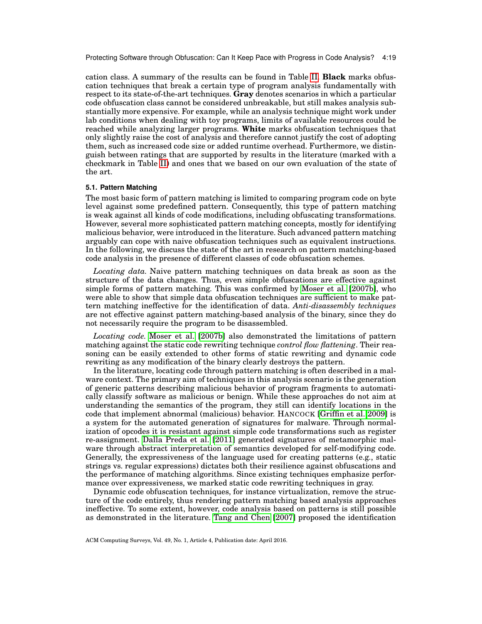cation class. A summary of the results can be found in Table [II.](#page-19-0) **Black** marks obfuscation techniques that break a certain type of program analysis fundamentally with respect to its state-of-the-art techniques. **Gray** denotes scenarios in which a particular code obfuscation class cannot be considered unbreakable, but still makes analysis substantially more expensive. For example, while an analysis technique might work under lab conditions when dealing with toy programs, limits of available resources could be reached while analyzing larger programs. **White** marks obfuscation techniques that only slightly raise the cost of analysis and therefore cannot justify the cost of adopting them, such as increased code size or added runtime overhead. Furthermore, we distinguish between ratings that are supported by results in the literature (marked with a checkmark in Table [II\)](#page-19-0) and ones that we based on our own evaluation of the state of the art.

## **5.1. Pattern Matching**

The most basic form of pattern matching is limited to comparing program code on byte level against some predefined pattern. Consequently, this type of pattern matching is weak against all kinds of code modifications, including obfuscating transformations. However, several more sophisticated pattern matching concepts, mostly for identifying malicious behavior, were introduced in the literature. Such advanced pattern matching arguably can cope with naive obfuscation techniques such as equivalent instructions. In the following, we discuss the state of the art in research on pattern matching-based code analysis in the presence of different classes of code obfuscation schemes.

*Locating data.* Naive pattern matching techniques on data break as soon as the structure of the data changes. Thus, even simple obfuscations are effective against simple forms of pattern matching. This was confirmed by [Moser et al.](#page-35-3) [\[2007b\]](#page-35-3), who were able to show that simple data obfuscation techniques are sufficient to make pattern matching ineffective for the identification of data. *Anti-disassembly techniques* are not effective against pattern matching-based analysis of the binary, since they do not necessarily require the program to be disassembled.

*Locating code.* [Moser et al.](#page-35-3) [\[2007b\]](#page-35-3) also demonstrated the limitations of pattern matching against the static code rewriting technique *control flow flattening*. Their reasoning can be easily extended to other forms of static rewriting and dynamic code rewriting as any modification of the binary clearly destroys the pattern.

In the literature, locating code through pattern matching is often described in a malware context. The primary aim of techniques in this analysis scenario is the generation of generic patterns describing malicious behavior of program fragments to automatically classify software as malicious or benign. While these approaches do not aim at understanding the semantics of the program, they still can identify locations in the code that implement abnormal (malicious) behavior. HANCOCK [\[Griffin et al. 2009\]](#page-33-6) is a system for the automated generation of signatures for malware. Through normalization of opcodes it is resistant against simple code transformations such as register re-assignment. [Dalla Preda et al.](#page-31-5) [\[2011\]](#page-31-5) generated signatures of metamorphic malware through abstract interpretation of semantics developed for self-modifying code. Generally, the expressiveness of the language used for creating patterns (e.g., static strings vs. regular expressions) dictates both their resilience against obfuscations and the performance of matching algorithms. Since existing techniques emphasize performance over expressiveness, we marked static code rewriting techniques in gray.

Dynamic code obfuscation techniques, for instance virtualization, remove the structure of the code entirely, thus rendering pattern matching based analysis approaches ineffective. To some extent, however, code analysis based on patterns is still possible as demonstrated in the literature. [Tang and Chen](#page-37-4) [\[2007\]](#page-37-4) proposed the identification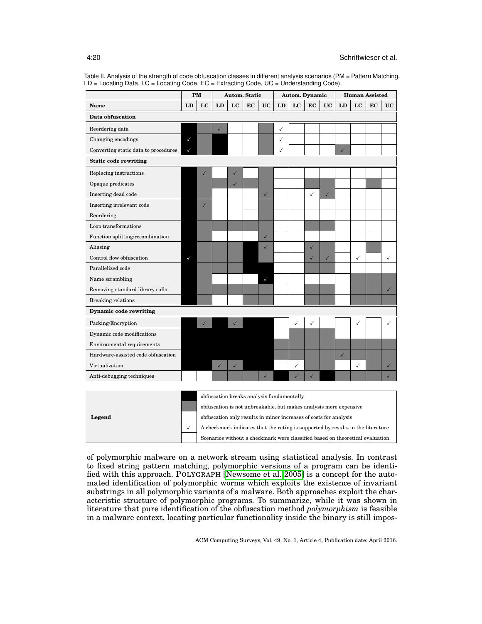#### 4:20 Schrittwieser et al.

|                                      | Autom. Static<br><b>PM</b> |              | Autom. Dynamic |              |    | <b>Human Assisted</b> |    |    |              |              |              |              |    |           |
|--------------------------------------|----------------------------|--------------|----------------|--------------|----|-----------------------|----|----|--------------|--------------|--------------|--------------|----|-----------|
| Name                                 | LD                         | LC           | LD             | LC           | EC | <b>UC</b>             | LD | LC | EC           | <b>UC</b>    | LD           | LC           | EC | <b>UC</b> |
| Data obfuscation                     |                            |              |                |              |    |                       |    |    |              |              |              |              |    |           |
| Reordering data                      |                            |              | ✓              |              |    |                       | ✓  |    |              |              |              |              |    |           |
| Changing encodings                   | $\checkmark$               |              |                |              |    |                       | ✓  |    |              |              |              |              |    |           |
| Converting static data to procedures |                            |              |                |              |    |                       | ✓  |    |              |              | ✓            |              |    |           |
| <b>Static code rewriting</b>         |                            |              |                |              |    |                       |    |    |              |              |              |              |    |           |
| Replacing instructions               |                            | √            |                | $\checkmark$ |    |                       |    |    |              |              |              |              |    |           |
| Opaque predicates                    |                            |              |                | $\checkmark$ |    |                       |    |    |              |              |              |              |    |           |
| Inserting dead code                  |                            |              |                |              |    | $\checkmark$          |    |    | $\checkmark$ | $\checkmark$ |              |              |    |           |
| Inserting irrelevant code            |                            | $\checkmark$ |                |              |    |                       |    |    |              |              |              |              |    |           |
| Reordering                           |                            |              |                |              |    |                       |    |    |              |              |              |              |    |           |
| Loop transformations                 |                            |              |                |              |    |                       |    |    |              |              |              |              |    |           |
| Function splitting/recombination     |                            |              |                |              |    | $\checkmark$          |    |    |              |              |              |              |    |           |
| Aliasing                             |                            |              |                |              |    | ✓                     |    |    | $\checkmark$ |              |              |              |    |           |
| Control flow obfuscation             | ✓                          |              |                |              |    |                       |    |    | $\checkmark$ | $\checkmark$ |              | $\checkmark$ |    | ✓         |
| Parallelized code                    |                            |              |                |              |    |                       |    |    |              |              |              |              |    |           |
| Name scrambling                      |                            |              |                |              |    | $\checkmark$          |    |    |              |              |              |              |    |           |
| Removing standard library calls      |                            |              |                |              |    |                       |    |    |              |              |              |              |    | ✓         |
| Breaking relations                   |                            |              |                |              |    |                       |    |    |              |              |              |              |    |           |
| Dynamic code rewriting               |                            |              |                |              |    |                       |    |    |              |              |              |              |    |           |
| Packing/Encryption                   |                            |              |                |              |    |                       |    | ✓  | √            |              |              | ✓            |    | ✓         |
| Dynamic code modifications           |                            |              |                |              |    |                       |    |    |              |              |              |              |    |           |
| Environmental requirements           |                            |              |                |              |    |                       |    |    |              |              |              |              |    |           |
| Hardware-assisted code obfuscation   |                            |              |                |              |    |                       |    |    |              |              | $\checkmark$ |              |    |           |
| Virtualization                       |                            |              | $\checkmark$   | $\checkmark$ |    |                       |    | ✓  |              |              |              | $\checkmark$ |    |           |
| Anti-debugging techniques            |                            |              |                |              |    |                       |    |    | $\checkmark$ |              |              |              |    |           |
|                                      |                            |              |                |              |    |                       |    |    |              |              |              |              |    |           |

<span id="page-19-0"></span>Table II. Analysis of the strength of code obfuscation classes in different analysis scenarios (PM = Pattern Matching,  $LD =$  Locating Data,  $LC =$  Locating Code,  $EC =$  Extracting Code,  $UC =$  Understanding Code).

|        |   | obfuscation breaks analysis fundamentally                                       |
|--------|---|---------------------------------------------------------------------------------|
|        |   | obfuscation is not unbreakable, but makes analysis more expensive               |
| Legend |   | obfuscation only results in minor increases of costs for analysis               |
|        | √ | A checkmark indicates that the rating is supported by results in the literature |
|        |   | Scenarios without a checkmark were classified based on theoretical evaluation   |

of polymorphic malware on a network stream using statistical analysis. In contrast to fixed string pattern matching, polymorphic versions of a program can be identified with this approach. POLYGRAPH [\[Newsome et al. 2005\]](#page-36-3) is a concept for the automated identification of polymorphic worms which exploits the existence of invariant substrings in all polymorphic variants of a malware. Both approaches exploit the characteristic structure of polymorphic programs. To summarize, while it was shown in literature that pure identification of the obfuscation method *polymorphism* is feasible in a malware context, locating particular functionality inside the binary is still impos-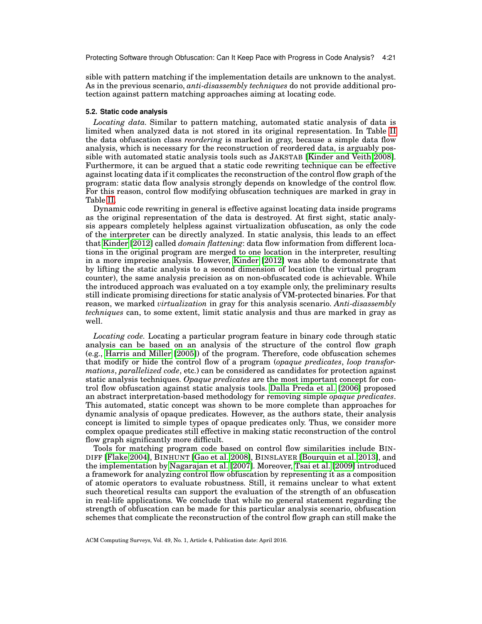sible with pattern matching if the implementation details are unknown to the analyst. As in the previous scenario, *anti-disassembly techniques* do not provide additional protection against pattern matching approaches aiming at locating code.

# **5.2. Static code analysis**

*Locating data.* Similar to pattern matching, automated static analysis of data is limited when analyzed data is not stored in its original representation. In Table [II](#page-19-0) the data obfuscation class *reordering* is marked in gray, because a simple data flow analysis, which is necessary for the reconstruction of reordered data, is arguably possible with automated static analysis tools such as JAKSTAB [\[Kinder and Veith 2008\]](#page-34-0). Furthermore, it can be argued that a static code rewriting technique can be effective against locating data if it complicates the reconstruction of the control flow graph of the program: static data flow analysis strongly depends on knowledge of the control flow. For this reason, control flow modifying obfuscation techniques are marked in gray in Table [II.](#page-19-0)

Dynamic code rewriting in general is effective against locating data inside programs as the original representation of the data is destroyed. At first sight, static analysis appears completely helpless against virtualization obfuscation, as only the code of the interpreter can be directly analyzed. In static analysis, this leads to an effect that [Kinder](#page-34-1) [\[2012\]](#page-34-1) called *domain flattening*: data flow information from different locations in the original program are merged to one location in the interpreter, resulting in a more imprecise analysis. However, [Kinder](#page-34-1) [\[2012\]](#page-34-1) was able to demonstrate that by lifting the static analysis to a second dimension of location (the virtual program counter), the same analysis precision as on non-obfuscated code is achievable. While the introduced approach was evaluated on a toy example only, the preliminary results still indicate promising directions for static analysis of VM-protected binaries. For that reason, we marked *virtualization* in gray for this analysis scenario. *Anti-disassembly techniques* can, to some extent, limit static analysis and thus are marked in gray as well.

*Locating code.* Locating a particular program feature in binary code through static analysis can be based on an analysis of the structure of the control flow graph (e.g., [Harris and Miller](#page-33-7) [\[2005\]](#page-33-7)) of the program. Therefore, code obfuscation schemes that modify or hide the control flow of a program (*opaque predicates*, *loop transformations*, *parallelized code*, etc.) can be considered as candidates for protection against static analysis techniques. *Opaque predicates* are the most important concept for control flow obfuscation against static analysis tools. [Dalla Preda et al.](#page-31-6) [\[2006\]](#page-31-6) proposed an abstract interpretation-based methodology for removing simple *opaque predicates*. This automated, static concept was shown to be more complete than approaches for dynamic analysis of opaque predicates. However, as the authors state, their analysis concept is limited to simple types of opaque predicates only. Thus, we consider more complex opaque predicates still effective in making static reconstruction of the control flow graph significantly more difficult.

Tools for matching program code based on control flow similarities include BIN-DIFF [\[Flake 2004\]](#page-32-4), BINHUNT [\[Gao et al. 2008\]](#page-32-5), BINSLAYER [\[Bourquin et al. 2013\]](#page-29-6), and the implementation by [Nagarajan et al.](#page-36-4) [\[2007\]](#page-36-4). Moreover, [Tsai et al.](#page-38-7) [\[2009\]](#page-38-7) introduced a framework for analyzing control flow obfuscation by representing it as a composition of atomic operators to evaluate robustness. Still, it remains unclear to what extent such theoretical results can support the evaluation of the strength of an obfuscation in real-life applications. We conclude that while no general statement regarding the strength of obfuscation can be made for this particular analysis scenario, obfuscation schemes that complicate the reconstruction of the control flow graph can still make the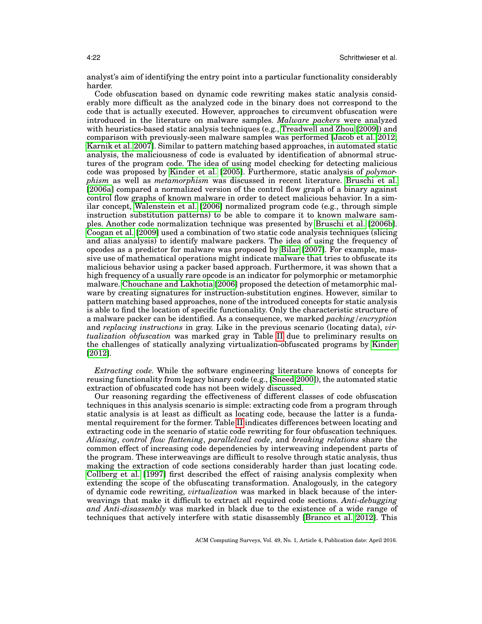analyst's aim of identifying the entry point into a particular functionality considerably harder.

Code obfuscation based on dynamic code rewriting makes static analysis considerably more difficult as the analyzed code in the binary does not correspond to the code that is actually executed. However, approaches to circumvent obfuscation were introduced in the literature on malware samples. *Malware packers* were analyzed with heuristics-based static analysis techniques (e.g., [Treadwell and Zhou](#page-38-6) [\[2009\]](#page-38-6)) and comparison with previously-seen malware samples was performed [\[Jacob et al. 2012;](#page-33-9) [Karnik et al. 2007\]](#page-33-8). Similar to pattern matching based approaches, in automated static analysis, the maliciousness of code is evaluated by identification of abnormal structures of the program code. The idea of using model checking for detecting malicious code was proposed by [Kinder et al.](#page-34-15) [\[2005\]](#page-34-15). Furthermore, static analysis of *polymorphism* as well as *metamorphism* was discussed in recent literature. [Bruschi et al.](#page-29-4) [\[2006a\]](#page-29-4) compared a normalized version of the control flow graph of a binary against control flow graphs of known malware in order to detect malicious behavior. In a similar concept, [Walenstein et al.](#page-38-5) [\[2006\]](#page-38-5) normalized program code (e.g., through simple instruction substitution patterns) to be able to compare it to known malware samples. Another code normalization technique was presented by [Bruschi et al.](#page-29-5) [\[2006b\]](#page-29-5). [Coogan et al.](#page-30-5) [\[2009\]](#page-30-5) used a combination of two static code analysis techniques (slicing and alias analysis) to identify malware packers. The idea of using the frequency of opcodes as a predictor for malware was proposed by [Bilar](#page-28-7) [\[2007\]](#page-28-7). For example, massive use of mathematical operations might indicate malware that tries to obfuscate its malicious behavior using a packer based approach. Furthermore, it was shown that a high frequency of a usually rare opcode is an indicator for polymorphic or metamorphic malware. [Chouchane and Lakhotia](#page-30-4) [\[2006\]](#page-30-4) proposed the detection of metamorphic malware by creating signatures for instruction-substitution engines. However, similar to pattern matching based approaches, none of the introduced concepts for static analysis is able to find the location of specific functionality. Only the characteristic structure of a malware packer can be identified. As a consequence, we marked *packing/encryption* and *replacing instructions* in gray. Like in the previous scenario (locating data), *virtualization obfuscation* was marked gray in Table [II](#page-19-0) due to preliminary results on the challenges of statically analyzing virtualization-obfuscated programs by [Kinder](#page-34-1) [\[2012\]](#page-34-1).

*Extracting code.* While the software engineering literature knows of concepts for reusing functionality from legacy binary code (e.g., [\[Sneed 2000\]](#page-37-8)), the automated static extraction of obfuscated code has not been widely discussed.

Our reasoning regarding the effectiveness of different classes of code obfuscation techniques in this analysis scenario is simple: extracting code from a program through static analysis is at least as difficult as locating code, because the latter is a fundamental requirement for the former. Table [II](#page-19-0) indicates differences between locating and extracting code in the scenario of static code rewriting for four obfuscation techniques. *Aliasing*, *control flow flattening*, *parallelized code*, and *breaking relations* share the common effect of increasing code dependencies by interweaving independent parts of the program. These interweavings are difficult to resolve through static analysis, thus making the extraction of code sections considerably harder than just locating code. [Collberg et al.](#page-30-0) [\[1997\]](#page-30-0) first described the effect of raising analysis complexity when extending the scope of the obfuscating transformation. Analogously, in the category of dynamic code rewriting, *virtualization* was marked in black because of the interweavings that make it difficult to extract all required code sections. *Anti-debugging and Anti-disassembly* was marked in black due to the existence of a wide range of techniques that actively interfere with static disassembly [\[Branco et al. 2012\]](#page-29-18). This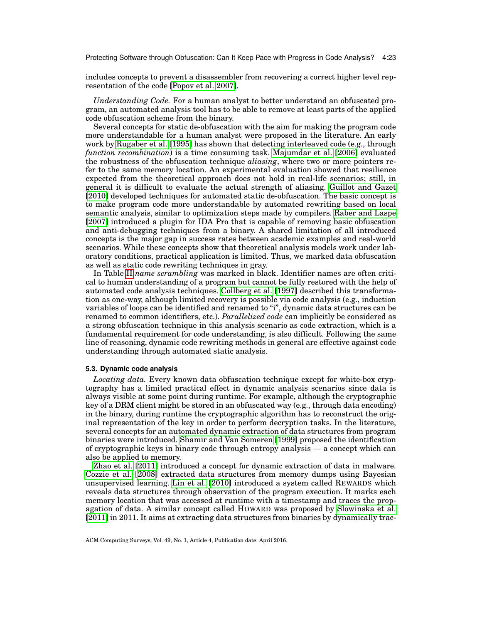includes concepts to prevent a disassembler from recovering a correct higher level representation of the code [\[Popov et al. 2007\]](#page-36-5).

*Understanding Code.* For a human analyst to better understand an obfuscated program, an automated analysis tool has to be able to remove at least parts of the applied code obfuscation scheme from the binary.

Several concepts for static de-obfuscation with the aim for making the program code more understandable for a human analyst were proposed in the literature. An early work by [Rugaber et al.](#page-36-10) [\[1995\]](#page-36-10) has shown that detecting interleaved code (e.g., through *function recombination*) is a time consuming task. [Majumdar et al.](#page-35-9) [\[2006\]](#page-35-9) evaluated the robustness of the obfuscation technique *aliasing*, where two or more pointers refer to the same memory location. An experimental evaluation showed that resilience expected from the theoretical approach does not hold in real-life scenarios; still, in general it is difficult to evaluate the actual strength of aliasing. [Guillot and Gazet](#page-33-12) [\[2010\]](#page-33-12) developed techniques for automated static de-obfuscation. The basic concept is to make program code more understandable by automated rewriting based on local semantic analysis, similar to optimization steps made by compilers. [Raber and Laspe](#page-36-11) [\[2007\]](#page-36-11) introduced a plugin for IDA Pro that is capable of removing basic obfuscation and anti-debugging techniques from a binary. A shared limitation of all introduced concepts is the major gap in success rates between academic examples and real-world scenarios. While these concepts show that theoretical analysis models work under laboratory conditions, practical application is limited. Thus, we marked data obfuscation as well as static code rewriting techniques in gray.

In Table [II](#page-19-0) *name scrambling* was marked in black. Identifier names are often critical to human understanding of a program but cannot be fully restored with the help of automated code analysis techniques. [Collberg et al.](#page-30-0) [\[1997\]](#page-30-0) described this transformation as one-way, although limited recovery is possible via code analysis (e.g., induction variables of loops can be identified and renamed to "i", dynamic data structures can be renamed to common identifiers, etc.). *Parallelized code* can implicitly be considered as a strong obfuscation technique in this analysis scenario as code extraction, which is a fundamental requirement for code understanding, is also difficult. Following the same line of reasoning, dynamic code rewriting methods in general are effective against code understanding through automated static analysis.

# **5.3. Dynamic code analysis**

*Locating data.* Every known data obfuscation technique except for white-box cryptography has a limited practical effect in dynamic analysis scenarios since data is always visible at some point during runtime. For example, although the cryptographic key of a DRM client might be stored in an obfuscated way (e.g., through data encoding) in the binary, during runtime the cryptographic algorithm has to reconstruct the original representation of the key in order to perform decryption tasks. In the literature, several concepts for an automated dynamic extraction of data structures from program binaries were introduced. [Shamir and Van Someren](#page-37-2) [\[1999\]](#page-37-2) proposed the identification of cryptographic keys in binary code through entropy analysis — a concept which can also be applied to memory.

[Zhao et al.](#page-39-0) [\[2011\]](#page-39-0) introduced a concept for dynamic extraction of data in malware. [Cozzie et al.](#page-31-3) [\[2008\]](#page-31-3) extracted data structures from memory dumps using Bayesian unsupervised learning. [Lin et al.](#page-34-2) [\[2010\]](#page-34-2) introduced a system called REWARDS which reveals data structures through observation of the program execution. It marks each memory location that was accessed at runtime with a timestamp and traces the propagation of data. A similar concept called HOWARD was proposed by [Slowinska et al.](#page-37-3) [\[2011\]](#page-37-3) in 2011. It aims at extracting data structures from binaries by dynamically trac-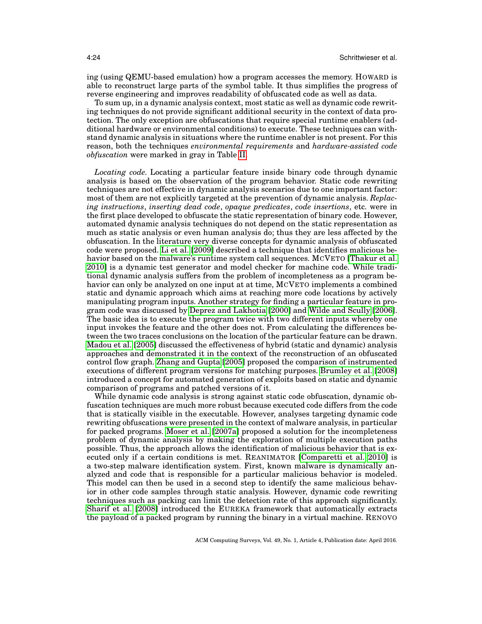ing (using QEMU-based emulation) how a program accesses the memory. HOWARD is able to reconstruct large parts of the symbol table. It thus simplifies the progress of reverse engineering and improves readability of obfuscated code as well as data.

To sum up, in a dynamic analysis context, most static as well as dynamic code rewriting techniques do not provide significant additional security in the context of data protection. The only exception are obfuscations that require special runtime enablers (additional hardware or environmental conditions) to execute. These techniques can withstand dynamic analysis in situations where the runtime enabler is not present. For this reason, both the techniques *environmental requirements* and *hardware-assisted code obfuscation* were marked in gray in Table [II.](#page-19-0)

*Locating code.* Locating a particular feature inside binary code through dynamic analysis is based on the observation of the program behavior. Static code rewriting techniques are not effective in dynamic analysis scenarios due to one important factor: most of them are not explicitly targeted at the prevention of dynamic analysis. *Replacing instructions*, *inserting dead code*, *opaque predicates*, *code insertions*, etc. were in the first place developed to obfuscate the static representation of binary code. However, automated dynamic analysis techniques do not depend on the static representation as much as static analysis or even human analysis do; thus they are less affected by the obfuscation. In the literature very diverse concepts for dynamic analysis of obfuscated code were proposed. [Li et al.](#page-34-4) [\[2009\]](#page-34-4) described a technique that identifies malicious behavior based on the malware's runtime system call sequences. MCVETO [\[Thakur et al.](#page-37-14) [2010\]](#page-37-14) is a dynamic test generator and model checker for machine code. While traditional dynamic analysis suffers from the problem of incompleteness as a program behavior can only be analyzed on one input at at time, MCVETO implements a combined static and dynamic approach which aims at reaching more code locations by actively manipulating program inputs. Another strategy for finding a particular feature in program code was discussed by [Deprez and Lakhotia](#page-31-7) [\[2000\]](#page-31-7) and [Wilde and Scully](#page-38-8) [\[2006\]](#page-38-8). The basic idea is to execute the program twice with two different inputs whereby one input invokes the feature and the other does not. From calculating the differences between the two traces conclusions on the location of the particular feature can be drawn. [Madou et al.](#page-35-5) [\[2005\]](#page-35-5) discussed the effectiveness of hybrid (static and dynamic) analysis approaches and demonstrated it in the context of the reconstruction of an obfuscated control flow graph. [Zhang and Gupta](#page-39-1) [\[2005\]](#page-39-1) proposed the comparison of instrumented executions of different program versions for matching purposes. [Brumley et al.](#page-29-7) [\[2008\]](#page-29-7) introduced a concept for automated generation of exploits based on static and dynamic comparison of programs and patched versions of it.

While dynamic code analysis is strong against static code obfuscation, dynamic obfuscation techniques are much more robust because executed code differs from the code that is statically visible in the executable. However, analyses targeting dynamic code rewriting obfuscations were presented in the context of malware analysis, in particular for packed programs. [Moser et al.](#page-35-6) [\[2007a\]](#page-35-6) proposed a solution for the incompleteness problem of dynamic analysis by making the exploration of multiple execution paths possible. Thus, the approach allows the identification of malicious behavior that is executed only if a certain conditions is met. REANIMATOR [\[Comparetti et al. 2010\]](#page-30-6) is a two-step malware identification system. First, known malware is dynamically analyzed and code that is responsible for a particular malicious behavior is modeled. This model can then be used in a second step to identify the same malicious behavior in other code samples through static analysis. However, dynamic code rewriting techniques such as packing can limit the detection rate of this approach significantly. [Sharif et al.](#page-37-5) [\[2008\]](#page-37-5) introduced the EUREKA framework that automatically extracts the payload of a packed program by running the binary in a virtual machine. RENOVO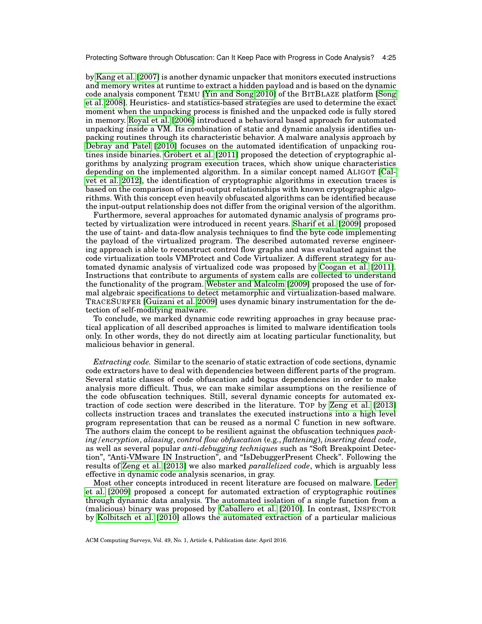by [Kang et al.](#page-33-17) [\[2007\]](#page-33-17) is another dynamic unpacker that monitors executed instructions and memory writes at runtime to extract a hidden payload and is based on the dynamic code analysis component TEMU [\[Yin and Song 2010\]](#page-38-10) of the BITBLAZE platform [\[Song](#page-37-6) [et al. 2008\]](#page-37-6). Heuristics- and statistics-based strategies are used to determine the exact moment when the unpacking process is finished and the unpacked code is fully stored in memory. [Royal et al.](#page-36-6) [\[2006\]](#page-36-6) introduced a behavioral based approach for automated unpacking inside a VM. Its combination of static and dynamic analysis identifies unpacking routines through its characteristic behavior. A malware analysis approach by [Debray and Patel](#page-31-8) [\[2010\]](#page-31-8) focuses on the automated identification of unpacking rou-tines inside binaries. Gröbert et al. [\[2011\]](#page-33-11) proposed the detection of cryptographic algorithms by analyzing program execution traces, which show unique characteristics depending on the implemented algorithm. In a similar concept named ALIGOT [\[Cal](#page-29-8)[vet et al. 2012\]](#page-29-8), the identification of cryptographic algorithms in execution traces is based on the comparison of input-output relationships with known cryptographic algorithms. With this concept even heavily obfuscated algorithms can be identified because the input-output relationship does not differ from the original version of the algorithm.

Furthermore, several approaches for automated dynamic analysis of programs protected by virtualization were introduced in recent years. [Sharif et al.](#page-37-7) [\[2009\]](#page-37-7) proposed the use of taint- and data-flow analysis techniques to find the byte code implementing the payload of the virtualized program. The described automated reverse engineering approach is able to reconstruct control flow graphs and was evaluated against the code virtualization tools VMProtect and Code Virtualizer. A different strategy for automated dynamic analysis of virtualized code was proposed by [Coogan et al.](#page-30-7) [\[2011\]](#page-30-7). Instructions that contribute to arguments of system calls are collected to understand the functionality of the program. [Webster and Malcolm](#page-38-9) [\[2009\]](#page-38-9) proposed the use of formal algebraic specifications to detect metamorphic and virtualization-based malware. TRACESURFER [\[Guizani et al. 2009\]](#page-33-10) uses dynamic binary instrumentation for the detection of self-modifying malware.

To conclude, we marked dynamic code rewriting approaches in gray because practical application of all described approaches is limited to malware identification tools only. In other words, they do not directly aim at locating particular functionality, but malicious behavior in general.

*Extracting code.* Similar to the scenario of static extraction of code sections, dynamic code extractors have to deal with dependencies between different parts of the program. Several static classes of code obfuscation add bogus dependencies in order to make analysis more difficult. Thus, we can make similar assumptions on the resilience of the code obfuscation techniques. Still, several dynamic concepts for automated extraction of code section were described in the literature. TOP by [Zeng et al.](#page-39-2) [\[2013\]](#page-39-2) collects instruction traces and translates the executed instructions into a high level program representation that can be reused as a normal C function in new software. The authors claim the concept to be resilient against the obfuscation techniques *packing/encryption*, *aliasing*, *control flow obfuscation* (e.g., *flattening*), *inserting dead code*, as well as several popular *anti-debugging techniques* such as "Soft Breakpoint Detection", "Anti-VMware IN Instruction", and "IsDebuggerPresent Check". Following the results of [Zeng et al.](#page-39-2) [\[2013\]](#page-39-2) we also marked *parallelized code*, which is arguably less effective in dynamic code analysis scenarios, in gray.

Most other concepts introduced in recent literature are focused on malware. [Leder](#page-34-5) [et al.](#page-34-5) [\[2009\]](#page-34-5) proposed a concept for automated extraction of cryptographic routines through dynamic data analysis. The automated isolation of a single function from a (malicious) binary was proposed by [Caballero et al.](#page-29-9) [\[2010\]](#page-29-9). In contrast, INSPECTOR by [Kolbitsch et al.](#page-34-6) [\[2010\]](#page-34-6) allows the automated extraction of a particular malicious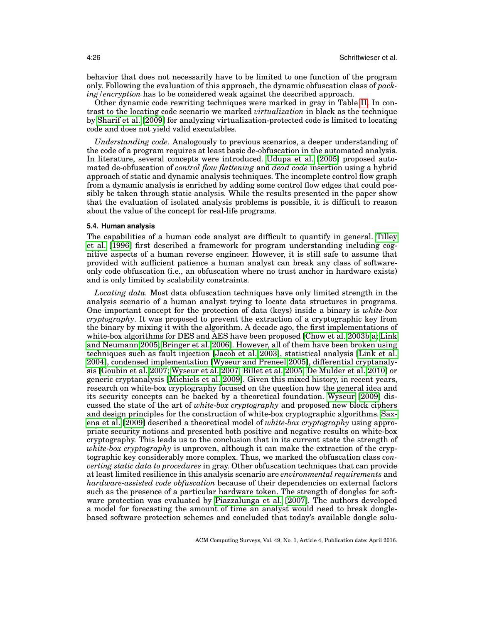behavior that does not necessarily have to be limited to one function of the program only. Following the evaluation of this approach, the dynamic obfuscation class of *packing/encryption* has to be considered weak against the described approach.

Other dynamic code rewriting techniques were marked in gray in Table [II.](#page-19-0) In contrast to the locating code scenario we marked *virtualization* in black as the technique by [Sharif et al.](#page-37-7) [\[2009\]](#page-37-7) for analyzing virtualization-protected code is limited to locating code and does not yield valid executables.

*Understanding code.* Analogously to previous scenarios, a deeper understanding of the code of a program requires at least basic de-obfuscation in the automated analysis. In literature, several concepts were introduced. [Udupa et al.](#page-38-11) [\[2005\]](#page-38-11) proposed automated de-obfuscation of *control flow flattening* and *dead code* insertion using a hybrid approach of static and dynamic analysis techniques. The incomplete control flow graph from a dynamic analysis is enriched by adding some control flow edges that could possibly be taken through static analysis. While the results presented in the paper show that the evaluation of isolated analysis problems is possible, it is difficult to reason about the value of the concept for real-life programs.

#### **5.4. Human analysis**

The capabilities of a human code analyst are difficult to quantify in general. [Tilley](#page-38-18) [et al.](#page-38-18) [\[1996\]](#page-38-18) first described a framework for program understanding including cognitive aspects of a human reverse engineer. However, it is still safe to assume that provided with sufficient patience a human analyst can break any class of softwareonly code obfuscation (i.e., an obfuscation where no trust anchor in hardware exists) and is only limited by scalability constraints.

*Locating data.* Most data obfuscation techniques have only limited strength in the analysis scenario of a human analyst trying to locate data structures in programs. One important concept for the protection of data (keys) inside a binary is *white-box cryptography*. It was proposed to prevent the extraction of a cryptographic key from the binary by mixing it with the algorithm. A decade ago, the first implementations of white-box algorithms for DES and AES have been proposed [\[Chow et al. 2003b](#page-30-18)[,a;](#page-30-10) [Link](#page-34-8) [and Neumann 2005;](#page-34-8) [Bringer et al. 2006\]](#page-29-13). However, all of them have been broken using techniques such as fault injection [\[Jacob et al. 2003\]](#page-33-4), statistical analysis [\[Link et al.](#page-34-3) [2004\]](#page-34-3), condensed implementation [\[Wyseur and Preneel 2005\]](#page-38-2), differential cryptanalysis [\[Goubin et al. 2007;](#page-33-5) [Wyseur et al. 2007;](#page-38-3) [Billet et al. 2005;](#page-28-6) [De Mulder et al. 2010\]](#page-31-4) or generic cryptanalysis [\[Michiels et al. 2009\]](#page-35-4). Given this mixed history, in recent years, research on white-box cryptography focused on the question how the general idea and its security concepts can be backed by a theoretical foundation. [Wyseur](#page-38-4) [\[2009\]](#page-38-4) discussed the state of the art of *white-box cryptography* and proposed new block ciphers and design principles for the construction of white-box cryptographic algorithms. [Sax](#page-36-2)[ena et al.](#page-36-2) [\[2009\]](#page-36-2) described a theoretical model of *white-box cryptography* using appropriate security notions and presented both positive and negative results on white-box cryptography. This leads us to the conclusion that in its current state the strength of *white-box cryptography* is unproven, although it can make the extraction of the cryptographic key considerably more complex. Thus, we marked the obfuscation class *converting static data to procedures* in gray. Other obfuscation techniques that can provide at least limited resilience in this analysis scenario are *environmental requirements* and *hardware-assisted code obfuscation* because of their dependencies on external factors such as the presence of a particular hardware token. The strength of dongles for software protection was evaluated by [Piazzalunga et al.](#page-36-1) [\[2007\]](#page-36-1). The authors developed a model for forecasting the amount of time an analyst would need to break donglebased software protection schemes and concluded that today's available dongle solu-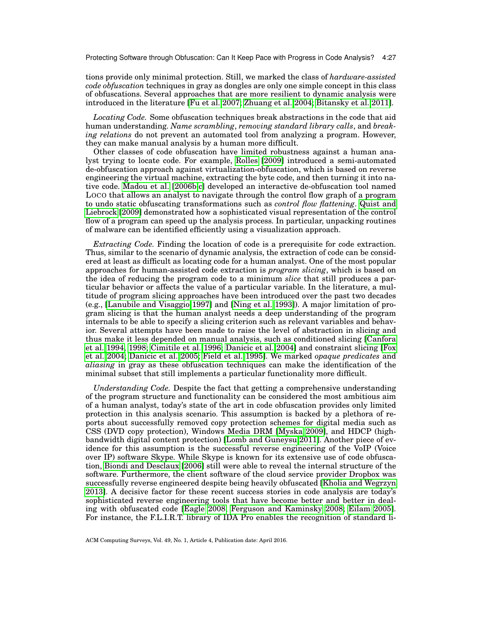tions provide only minimal protection. Still, we marked the class of *hardware-assisted code obfuscation* techniques in gray as dongles are only one simple concept in this class of obfuscations. Several approaches that are more resilient to dynamic analysis were introduced in the literature [\[Fu et al. 2007;](#page-32-10) [Zhuang et al. 2004;](#page-39-4) [Bitansky et al. 2011\]](#page-29-15).

*Locating Code.* Some obfuscation techniques break abstractions in the code that aid human understanding. *Name scrambling*, *removing standard library calls*, and *breaking relations* do not prevent an automated tool from analyzing a program. However, they can make manual analysis by a human more difficult.

Other classes of code obfuscation have limited robustness against a human analyst trying to locate code. For example, [Rolles](#page-36-7) [\[2009\]](#page-36-7) introduced a semi-automated de-obfuscation approach against virtualization-obfuscation, which is based on reverse engineering the virtual machine, extracting the byte code, and then turning it into native code. [Madou et al.](#page-35-7) [\[2006b](#page-35-7)[,c\]](#page-35-8) developed an interactive de-obfuscation tool named LOCO that allows an analyst to navigate through the control flow graph of a program to undo static obfuscating transformations such as *control flow flattening*. [Quist and](#page-36-8) [Liebrock](#page-36-8) [\[2009\]](#page-36-8) demonstrated how a sophisticated visual representation of the control flow of a program can speed up the analysis process. In particular, unpacking routines of malware can be identified efficiently using a visualization approach.

*Extracting Code.* Finding the location of code is a prerequisite for code extraction. Thus, similar to the scenario of dynamic analysis, the extraction of code can be considered at least as difficult as locating code for a human analyst. One of the most popular approaches for human-assisted code extraction is *program slicing*, which is based on the idea of reducing the program code to a minimum *slice* that still produces a particular behavior or affects the value of a particular variable. In the literature, a multitude of program slicing approaches have been introduced over the past two decades (e.g., [\[Lanubile and Visaggio 1997\]](#page-34-7) and [\[Ning et al. 1993\]](#page-36-9)). A major limitation of program slicing is that the human analyst needs a deep understanding of the program internals to be able to specify a slicing criterion such as relevant variables and behavior. Several attempts have been made to raise the level of abstraction in slicing and thus make it less depended on manual analysis, such as conditioned slicing [\[Canfora](#page-29-10) [et al. 1994,](#page-29-10) [1998;](#page-29-11) [Cimitile et al. 1996;](#page-30-8) [Danicic et al. 2004\]](#page-31-9) and constraint slicing [\[Fox](#page-32-7) [et al. 2004;](#page-32-7) [Danicic et al. 2005;](#page-31-10) [Field et al. 1995\]](#page-32-6). We marked *opaque predicates* and *aliasing* in gray as these obfuscation techniques can make the identification of the minimal subset that still implements a particular functionality more difficult.

*Understanding Code.* Despite the fact that getting a comprehensive understanding of the program structure and functionality can be considered the most ambitious aim of a human analyst, today's state of the art in code obfuscation provides only limited protection in this analysis scenario. This assumption is backed by a plethora of reports about successfully removed copy protection schemes for digital media such as CSS (DVD copy protection), Windows Media DRM [\[Myska 2009\]](#page-36-12), and HDCP (highbandwidth digital content protection) [\[Lomb and Guneysu 2011\]](#page-35-16). Another piece of evidence for this assumption is the successful reverse engineering of the VoIP (Voice over IP) software Skype. While Skype is known for its extensive use of code obfuscation, [Biondi and Desclaux](#page-29-12) [\[2006\]](#page-29-12) still were able to reveal the internal structure of the software. Furthermore, the client software of the cloud service provider Dropbox was successfully reverse engineered despite being heavily obfuscated [\[Kholia and Wegrzyn](#page-33-13) [2013\]](#page-33-13). A decisive factor for these recent success stories in code analysis are today's sophisticated reverse engineering tools that have become better and better in dealing with obfuscated code [\[Eagle 2008;](#page-31-11) [Ferguson and Kaminsky 2008;](#page-32-18) [Eilam 2005\]](#page-32-17). For instance, the F.L.I.R.T. library of IDA Pro enables the recognition of standard li-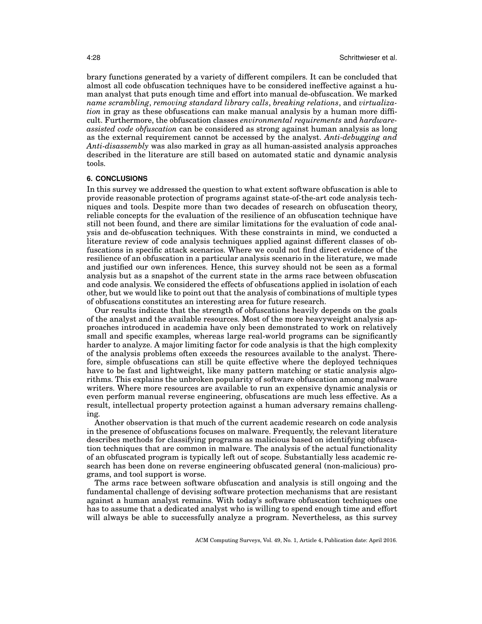brary functions generated by a variety of different compilers. It can be concluded that almost all code obfuscation techniques have to be considered ineffective against a human analyst that puts enough time and effort into manual de-obfuscation. We marked *name scrambling*, *removing standard library calls*, *breaking relations*, and *virtualization* in gray as these obfuscations can make manual analysis by a human more difficult. Furthermore, the obfuscation classes *environmental requirements* and *hardwareassisted code obfuscation* can be considered as strong against human analysis as long as the external requirement cannot be accessed by the analyst. *Anti-debugging and Anti-disassembly* was also marked in gray as all human-assisted analysis approaches described in the literature are still based on automated static and dynamic analysis tools.

#### <span id="page-27-0"></span>**6. CONCLUSIONS**

In this survey we addressed the question to what extent software obfuscation is able to provide reasonable protection of programs against state-of-the-art code analysis techniques and tools. Despite more than two decades of research on obfuscation theory, reliable concepts for the evaluation of the resilience of an obfuscation technique have still not been found, and there are similar limitations for the evaluation of code analysis and de-obfuscation techniques. With these constraints in mind, we conducted a literature review of code analysis techniques applied against different classes of obfuscations in specific attack scenarios. Where we could not find direct evidence of the resilience of an obfuscation in a particular analysis scenario in the literature, we made and justified our own inferences. Hence, this survey should not be seen as a formal analysis but as a snapshot of the current state in the arms race between obfuscation and code analysis. We considered the effects of obfuscations applied in isolation of each other, but we would like to point out that the analysis of combinations of multiple types of obfuscations constitutes an interesting area for future research.

Our results indicate that the strength of obfuscations heavily depends on the goals of the analyst and the available resources. Most of the more heavyweight analysis approaches introduced in academia have only been demonstrated to work on relatively small and specific examples, whereas large real-world programs can be significantly harder to analyze. A major limiting factor for code analysis is that the high complexity of the analysis problems often exceeds the resources available to the analyst. Therefore, simple obfuscations can still be quite effective where the deployed techniques have to be fast and lightweight, like many pattern matching or static analysis algorithms. This explains the unbroken popularity of software obfuscation among malware writers. Where more resources are available to run an expensive dynamic analysis or even perform manual reverse engineering, obfuscations are much less effective. As a result, intellectual property protection against a human adversary remains challenging.

Another observation is that much of the current academic research on code analysis in the presence of obfuscations focuses on malware. Frequently, the relevant literature describes methods for classifying programs as malicious based on identifying obfuscation techniques that are common in malware. The analysis of the actual functionality of an obfuscated program is typically left out of scope. Substantially less academic research has been done on reverse engineering obfuscated general (non-malicious) programs, and tool support is worse.

The arms race between software obfuscation and analysis is still ongoing and the fundamental challenge of devising software protection mechanisms that are resistant against a human analyst remains. With today's software obfuscation techniques one has to assume that a dedicated analyst who is willing to spend enough time and effort will always be able to successfully analyze a program. Nevertheless, as this survey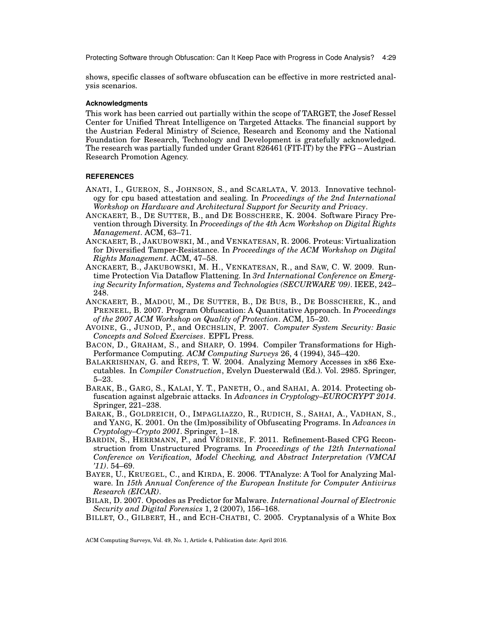shows, specific classes of software obfuscation can be effective in more restricted analysis scenarios.

# **Acknowledgments**

This work has been carried out partially within the scope of TARGET, the Josef Ressel Center for Unified Threat Intelligence on Targeted Attacks. The financial support by the Austrian Federal Ministry of Science, Research and Economy and the National Foundation for Research, Technology and Development is gratefully acknowledged. The research was partially funded under Grant 826461 (FIT-IT) by the FFG – Austrian Research Promotion Agency.

# **REFERENCES**

- <span id="page-28-10"></span>ANATI, I., GUERON, S., JOHNSON, S., and SCARLATA, V. 2013. Innovative technology for cpu based attestation and sealing. In *Proceedings of the 2nd International Workshop on Hardware and Architectural Support for Security and Privacy*.
- <span id="page-28-1"></span>ANCKAERT, B., DE SUTTER, B., and DE BOSSCHERE, K. 2004. Software Piracy Prevention through Diversity. In *Proceedings of the 4th Acm Workshop on Digital Rights Management*. ACM, 63–71.
- <span id="page-28-2"></span>ANCKAERT, B., JAKUBOWSKI, M., and VENKATESAN, R. 2006. Proteus: Virtualization for Diversified Tamper-Resistance. In *Proceedings of the ACM Workshop on Digital Rights Management*. ACM, 47–58.
- <span id="page-28-8"></span>ANCKAERT, B., JAKUBOWSKI, M. H., VENKATESAN, R., and SAW, C. W. 2009. Runtime Protection Via Dataflow Flattening. In *3rd International Conference on Emerging Security Information, Systems and Technologies (SECURWARE '09)*. IEEE, 242– 248.
- <span id="page-28-13"></span>ANCKAERT, B., MADOU, M., DE SUTTER, B., DE BUS, B., DE BOSSCHERE, K., and PRENEEL, B. 2007. Program Obfuscation: A Quantitative Approach. In *Proceedings of the 2007 ACM Workshop on Quality of Protection*. ACM, 15–20.
- <span id="page-28-0"></span>AVOINE, G., JUNOD, P., and OECHSLIN, P. 2007. *Computer System Security: Basic Concepts and Solved Exercises*. EPFL Press.
- <span id="page-28-9"></span>BACON, D., GRAHAM, S., and SHARP, O. 1994. Compiler Transformations for High-Performance Computing. *ACM Computing Surveys* 26, 4 (1994), 345–420.
- <span id="page-28-11"></span>BALAKRISHNAN, G. and REPS, T. W. 2004. Analyzing Memory Accesses in x86 Executables. In *Compiler Construction*, Evelyn Duesterwald (Ed.). Vol. 2985. Springer, 5–23.
- <span id="page-28-5"></span>BARAK, B., GARG, S., KALAI, Y. T., PANETH, O., and SAHAI, A. 2014. Protecting obfuscation against algebraic attacks. In *Advances in Cryptology–EUROCRYPT 2014*. Springer, 221–238.
- <span id="page-28-4"></span>BARAK, B., GOLDREICH, O., IMPAGLIAZZO, R., RUDICH, S., SAHAI, A., VADHAN, S., and YANG, K. 2001. On the (Im)possibility of Obfuscating Programs. In *Advances in Cryptology–Crypto 2001*. Springer, 1–18.
- <span id="page-28-12"></span>BARDIN, S., HERRMANN, P., and VÉDRINE, F. 2011. Refinement-Based CFG Reconstruction from Unstructured Programs. In *Proceedings of the 12th International Conference on Verification, Model Checking, and Abstract Interpretation (VMCAI '11)*. 54–69.
- <span id="page-28-3"></span>BAYER, U., KRUEGEL, C., and KIRDA, E. 2006. TTAnalyze: A Tool for Analyzing Malware. In *15th Annual Conference of the European Institute for Computer Antivirus Research (EICAR)*.
- <span id="page-28-7"></span>BILAR, D. 2007. Opcodes as Predictor for Malware. *International Journal of Electronic Security and Digital Forensics* 1, 2 (2007), 156–168.
- <span id="page-28-6"></span>BILLET, O., GILBERT, H., and ECH-CHATBI, C. 2005. Cryptanalysis of a White Box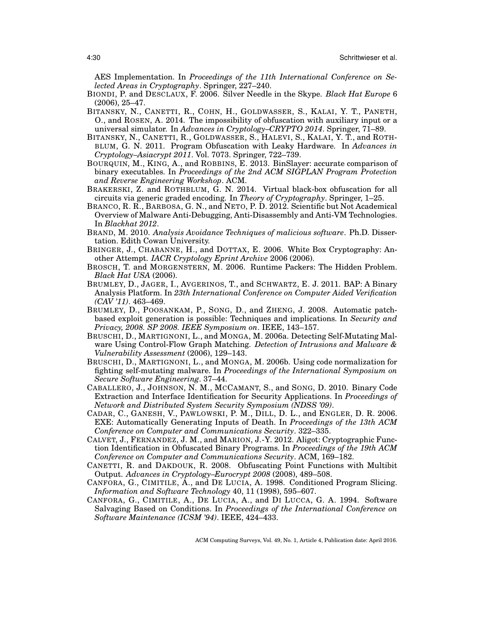AES Implementation. In *Proceedings of the 11th International Conference on Selected Areas in Cryptography*. Springer, 227–240.

- <span id="page-29-12"></span>BIONDI, P. and DESCLAUX, F. 2006. Silver Needle in the Skype. *Black Hat Europe* 6 (2006), 25–47.
- <span id="page-29-3"></span>BITANSKY, N., CANETTI, R., COHN, H., GOLDWASSER, S., KALAI, Y. T., PANETH, O., and ROSEN, A. 2014. The impossibility of obfuscation with auxiliary input or a universal simulator. In *Advances in Cryptology–CRYPTO 2014*. Springer, 71–89.
- <span id="page-29-15"></span>BITANSKY, N., CANETTI, R., GOLDWASSER, S., HALEVI, S., KALAI, Y. T., and ROTH-BLUM, G. N. 2011. Program Obfuscation with Leaky Hardware. In *Advances in Cryptology–Asiacrypt 2011*. Vol. 7073. Springer, 722–739.
- <span id="page-29-6"></span>BOURQUIN, M., KING, A., and ROBBINS, E. 2013. BinSlayer: accurate comparison of binary executables. In *Proceedings of the 2nd ACM SIGPLAN Program Protection and Reverse Engineering Workshop*. ACM.
- <span id="page-29-2"></span>BRAKERSKI, Z. and ROTHBLUM, G. N. 2014. Virtual black-box obfuscation for all circuits via generic graded encoding. In *Theory of Cryptography*. Springer, 1–25.
- <span id="page-29-18"></span>BRANCO, R. R., BARBOSA, G. N., and NETO, P. D. 2012. Scientific but Not Academical Overview of Malware Anti-Debugging, Anti-Disassembly and Anti-VM Technologies. In *Blackhat 2012*.
- <span id="page-29-16"></span>BRAND, M. 2010. *Analysis Avoidance Techniques of malicious software*. Ph.D. Dissertation. Edith Cowan University.
- <span id="page-29-13"></span>BRINGER, J., CHABANNE, H., and DOTTAX, E. 2006. White Box Cryptography: Another Attempt. *IACR Cryptology Eprint Archive* 2006 (2006).
- <span id="page-29-14"></span>BROSCH, T. and MORGENSTERN, M. 2006. Runtime Packers: The Hidden Problem. *Black Hat USA* (2006).
- <span id="page-29-0"></span>BRUMLEY, D., JAGER, I., AVGERINOS, T., and SCHWARTZ, E. J. 2011. BAP: A Binary Analysis Platform. In *23th International Conference on Computer Aided Verification (CAV '11)*. 463–469.
- <span id="page-29-7"></span>BRUMLEY, D., POOSANKAM, P., SONG, D., and ZHENG, J. 2008. Automatic patchbased exploit generation is possible: Techniques and implications. In *Security and Privacy, 2008. SP 2008. IEEE Symposium on*. IEEE, 143–157.
- <span id="page-29-4"></span>BRUSCHI, D., MARTIGNONI, L., and MONGA, M. 2006a. Detecting Self-Mutating Malware Using Control-Flow Graph Matching. *Detection of Intrusions and Malware & Vulnerability Assessment* (2006), 129–143.
- <span id="page-29-5"></span>BRUSCHI, D., MARTIGNONI, L., and MONGA, M. 2006b. Using code normalization for fighting self-mutating malware. In *Proceedings of the International Symposium on Secure Software Engineering*. 37–44.
- <span id="page-29-9"></span>CABALLERO, J., JOHNSON, N. M., MCCAMANT, S., and SONG, D. 2010. Binary Code Extraction and Interface Identification for Security Applications. In *Proceedings of Network and Distributed System Security Symposium (NDSS '09)*.
- <span id="page-29-17"></span>CADAR, C., GANESH, V., PAWLOWSKI, P. M., DILL, D. L., and ENGLER, D. R. 2006. EXE: Automatically Generating Inputs of Death. In *Proceedings of the 13th ACM Conference on Computer and Communications Security*. 322–335.
- <span id="page-29-8"></span>CALVET, J., FERNANDEZ, J. M., and MARION, J.-Y. 2012. Aligot: Cryptographic Function Identification in Obfuscated Binary Programs. In *Proceedings of the 19th ACM Conference on Computer and Communications Security*. ACM, 169–182.
- <span id="page-29-1"></span>CANETTI, R. and DAKDOUK, R. 2008. Obfuscating Point Functions with Multibit Output. *Advances in Cryptology–Eurocrypt 2008* (2008), 489–508.
- <span id="page-29-11"></span>CANFORA, G., CIMITILE, A., and DE LUCIA, A. 1998. Conditioned Program Slicing. *Information and Software Technology* 40, 11 (1998), 595–607.
- <span id="page-29-10"></span>CANFORA, G., CIMITILE, A., DE LUCIA, A., and DI LUCCA, G. A. 1994. Software Salvaging Based on Conditions. In *Proceedings of the International Conference on Software Maintenance (ICSM '94)*. IEEE, 424–433.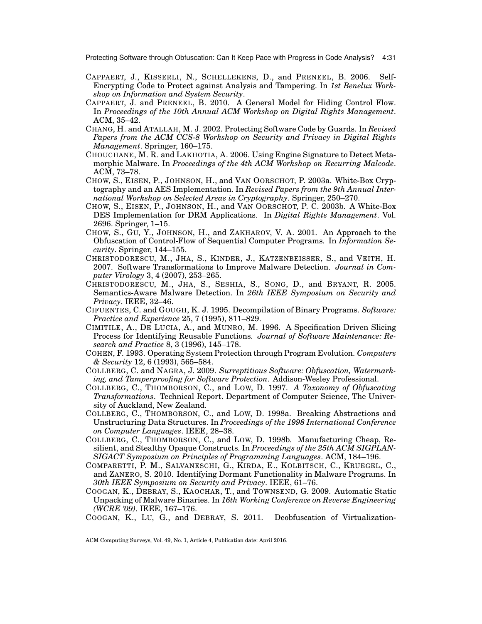- <span id="page-30-15"></span>CAPPAERT, J., KISSERLI, N., SCHELLEKENS, D., and PRENEEL, B. 2006. Self-Encrypting Code to Protect against Analysis and Tampering. In *1st Benelux Workshop on Information and System Security*.
- <span id="page-30-14"></span>CAPPAERT, J. and PRENEEL, B. 2010. A General Model for Hiding Control Flow. In *Proceedings of the 10th Annual ACM Workshop on Digital Rights Management*. ACM, 35–42.
- <span id="page-30-1"></span>CHANG, H. and ATALLAH, M. J. 2002. Protecting Software Code by Guards. In *Revised Papers from the ACM CCS-8 Workshop on Security and Privacy in Digital Rights Management*. Springer, 160–175.
- <span id="page-30-4"></span>CHOUCHANE, M. R. and LAKHOTIA, A. 2006. Using Engine Signature to Detect Metamorphic Malware. In *Proceedings of the 4th ACM Workshop on Recurring Malcode*. ACM, 73–78.
- <span id="page-30-10"></span>CHOW, S., EISEN, P., JOHNSON, H., and VAN OORSCHOT, P. 2003a. White-Box Cryptography and an AES Implementation. In *Revised Papers from the 9th Annual International Workshop on Selected Areas in Cryptography*. Springer, 250–270.
- <span id="page-30-18"></span>CHOW, S., EISEN, P., JOHNSON, H., and VAN OORSCHOT, P. C. 2003b. A White-Box DES Implementation for DRM Applications. In *Digital Rights Management*. Vol. 2696. Springer, 1–15.
- <span id="page-30-13"></span>CHOW, S., GU, Y., JOHNSON, H., and ZAKHAROV, V. A. 2001. An Approach to the Obfuscation of Control-Flow of Sequential Computer Programs. In *Information Security*. Springer, 144–155.
- <span id="page-30-2"></span>CHRISTODORESCU, M., JHA, S., KINDER, J., KATZENBEISSER, S., and VEITH, H. 2007. Software Transformations to Improve Malware Detection. *Journal in Computer Virology* 3, 4 (2007), 253–265.
- <span id="page-30-16"></span>CHRISTODORESCU, M., JHA, S., SESHIA, S., SONG, D., and BRYANT, R. 2005. Semantics-Aware Malware Detection. In *26th IEEE Symposium on Security and Privacy*. IEEE, 32–46.
- <span id="page-30-17"></span>CIFUENTES, C. and GOUGH, K. J. 1995. Decompilation of Binary Programs. *Software: Practice and Experience* 25, 7 (1995), 811–829.
- <span id="page-30-8"></span>CIMITILE, A., DE LUCIA, A., and MUNRO, M. 1996. A Specification Driven Slicing Process for Identifying Reusable Functions. *Journal of Software Maintenance: Research and Practice* 8, 3 (1996), 145–178.
- <span id="page-30-12"></span>COHEN, F. 1993. Operating System Protection through Program Evolution. *Computers & Security* 12, 6 (1993), 565–584.
- <span id="page-30-3"></span>COLLBERG, C. and NAGRA, J. 2009. *Surreptitious Software: Obfuscation, Watermarking, and Tamperproofing for Software Protection*. Addison-Wesley Professional.
- <span id="page-30-0"></span>COLLBERG, C., THOMBORSON, C., and LOW, D. 1997. *A Taxonomy of Obfuscating Transformations*. Technical Report. Department of Computer Science, The University of Auckland, New Zealand.
- <span id="page-30-9"></span>COLLBERG, C., THOMBORSON, C., and LOW, D. 1998a. Breaking Abstractions and Unstructuring Data Structures. In *Proceedings of the 1998 International Conference on Computer Languages*. IEEE, 28–38.
- <span id="page-30-11"></span>COLLBERG, C., THOMBORSON, C., and LOW, D. 1998b. Manufacturing Cheap, Resilient, and Stealthy Opaque Constructs. In *Proceedings of the 25th ACM SIGPLAN-SIGACT Symposium on Principles of Programming Languages*. ACM, 184–196.
- <span id="page-30-6"></span>COMPARETTI, P. M., SALVANESCHI, G., KIRDA, E., KOLBITSCH, C., KRUEGEL, C., and ZANERO, S. 2010. Identifying Dormant Functionality in Malware Programs. In *30th IEEE Symposium on Security and Privacy*. IEEE, 61–76.
- <span id="page-30-5"></span>COOGAN, K., DEBRAY, S., KAOCHAR, T., and TOWNSEND, G. 2009. Automatic Static Unpacking of Malware Binaries. In *16th Working Conference on Reverse Engineering (WCRE '09)*. IEEE, 167–176.
- <span id="page-30-7"></span>COOGAN, K., LU, G., and DEBRAY, S. 2011. Deobfuscation of Virtualization-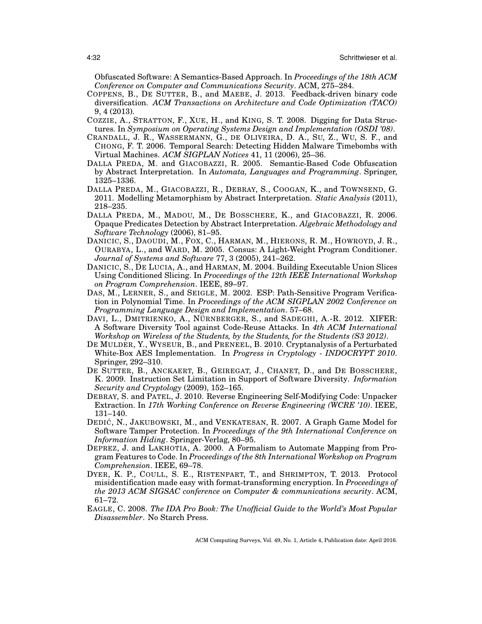Obfuscated Software: A Semantics-Based Approach. In *Proceedings of the 18th ACM Conference on Computer and Communications Security*. ACM, 275–284.

- <span id="page-31-14"></span>COPPENS, B., DE SUTTER, B., and MAEBE, J. 2013. Feedback-driven binary code diversification. *ACM Transactions on Architecture and Code Optimization (TACO)* 9, 4 (2013).
- <span id="page-31-3"></span>COZZIE, A., STRATTON, F., XUE, H., and KING, S. T. 2008. Digging for Data Structures. In *Symposium on Operating Systems Design and Implementation (OSDI '08)*.
- <span id="page-31-16"></span>CRANDALL, J. R., WASSERMANN, G., DE OLIVEIRA, D. A., SU, Z., WU, S. F., and CHONG, F. T. 2006. Temporal Search: Detecting Hidden Malware Timebombs with Virtual Machines. *ACM SIGPLAN Notices* 41, 11 (2006), 25–36.
- <span id="page-31-1"></span>DALLA PREDA, M. and GIACOBAZZI, R. 2005. Semantic-Based Code Obfuscation by Abstract Interpretation. In *Automata, Languages and Programming*. Springer, 1325–1336.
- <span id="page-31-5"></span>DALLA PREDA, M., GIACOBAZZI, R., DEBRAY, S., COOGAN, K., and TOWNSEND, G. 2011. Modelling Metamorphism by Abstract Interpretation. *Static Analysis* (2011), 218–235.
- <span id="page-31-6"></span>DALLA PREDA, M., MADOU, M., DE BOSSCHERE, K., and GIACOBAZZI, R. 2006. Opaque Predicates Detection by Abstract Interpretation. *Algebraic Methodology and Software Technology* (2006), 81–95.
- <span id="page-31-10"></span>DANICIC, S., DAOUDI, M., FOX, C., HARMAN, M., HIERONS, R. M., HOWROYD, J. R., OURABYA, L., and WARD, M. 2005. Consus: A Light-Weight Program Conditioner. *Journal of Systems and Software* 77, 3 (2005), 241–262.
- <span id="page-31-9"></span>DANICIC, S., DE LUCIA, A., and HARMAN, M. 2004. Building Executable Union Slices Using Conditioned Slicing. In *Proceedings of the 12th IEEE International Workshop on Program Comprehension*. IEEE, 89–97.
- <span id="page-31-15"></span>DAS, M., LERNER, S., and SEIGLE, M. 2002. ESP: Path-Sensitive Program Verification in Polynomial Time. In *Proceedings of the ACM SIGPLAN 2002 Conference on Programming Language Design and Implementation*. 57–68.
- <span id="page-31-0"></span>DAVI, L., DMITRIENKO, A., NÜRNBERGER, S., and SADEGHI, A.-R. 2012. XIFER: A Software Diversity Tool against Code-Reuse Attacks. In *4th ACM International Workshop on Wireless of the Students, by the Students, for the Students (S3 2012)*.
- <span id="page-31-4"></span>DE MULDER, Y., WYSEUR, B., and PRENEEL, B. 2010. Cryptanalysis of a Perturbated White-Box AES Implementation. In *Progress in Cryptology - INDOCRYPT 2010*. Springer, 292–310.
- <span id="page-31-12"></span>DE SUTTER, B., ANCKAERT, B., GEIREGAT, J., CHANET, D., and DE BOSSCHERE, K. 2009. Instruction Set Limitation in Support of Software Diversity. *Information Security and Cryptology* (2009), 152–165.
- <span id="page-31-8"></span>DEBRAY, S. and PATEL, J. 2010. Reverse Engineering Self-Modifying Code: Unpacker Extraction. In *17th Working Conference on Reverse Engineering (WCRE '10)*. IEEE, 131–140.
- <span id="page-31-2"></span>DEDIĆ, N., JAKUBOWSKI, M., and VENKATESAN, R. 2007. A Graph Game Model for Software Tamper Protection. In *Proceedings of the 9th International Conference on Information Hiding*. Springer-Verlag, 80–95.
- <span id="page-31-7"></span>DEPREZ, J. and LAKHOTIA, A. 2000. A Formalism to Automate Mapping from Program Features to Code. In *Proceedings of the 8th International Workshop on Program Comprehension*. IEEE, 69–78.
- <span id="page-31-13"></span>DYER, K. P., COULL, S. E., RISTENPART, T., and SHRIMPTON, T. 2013. Protocol misidentification made easy with format-transforming encryption. In *Proceedings of the 2013 ACM SIGSAC conference on Computer & communications security*. ACM, 61–72.
- <span id="page-31-11"></span>EAGLE, C. 2008. *The IDA Pro Book: The Unofficial Guide to the World's Most Popular Disassembler*. No Starch Press.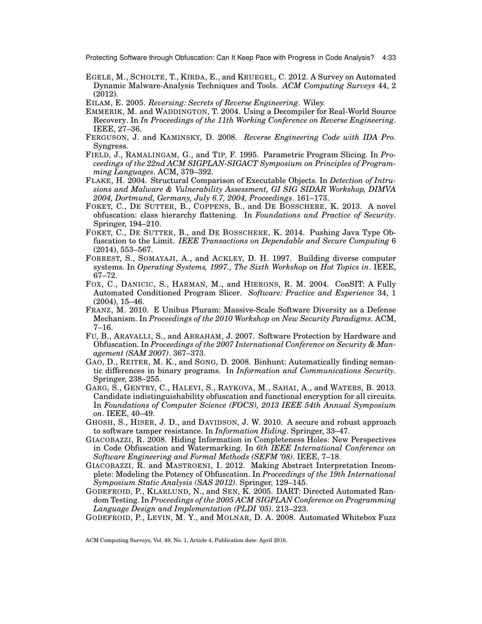- <span id="page-32-13"></span>EGELE, M., SCHOLTE, T., KIRDA, E., and KRUEGEL, C. 2012. A Survey on Automated Dynamic Malware-Analysis Techniques and Tools. *ACM Computing Surveys* 44, 2 (2012).
- <span id="page-32-17"></span>EILAM, E. 2005. *Reversing: Secrets of Reverse Engineering*. Wiley.
- <span id="page-32-16"></span>EMMERIK, M. and WADDINGTON, T. 2004. Using a Decompiler for Real-World Source Recovery. In *In Proceedings of the 11th Working Conference on Reverse Engineering*. IEEE, 27–36.
- <span id="page-32-18"></span>FERGUSON, J. and KAMINSKY, D. 2008. *Reverse Engineering Code with IDA Pro*. Syngress.
- <span id="page-32-6"></span>FIELD, J., RAMALINGAM, G., and TIP, F. 1995. Parametric Program Slicing. In *Proceedings of the 22nd ACM SIGPLAN-SIGACT Symposium on Principles of Programming Languages*. ACM, 379–392.
- <span id="page-32-4"></span>FLAKE, H. 2004. Structural Comparison of Executable Objects. In *Detection of Intrusions and Malware & Vulnerability Assessment, GI SIG SIDAR Workshop, DIMVA 2004, Dortmund, Germany, July 6.7, 2004, Proceedings*. 161–173.
- <span id="page-32-8"></span>FOKET, C., DE SUTTER, B., COPPENS, B., and DE BOSSCHERE, K. 2013. A novel obfuscation: class hierarchy flattening. In *Foundations and Practice of Security*. Springer, 194–210.
- <span id="page-32-9"></span>FOKET, C., DE SUTTER, B., and DE BOSSCHERE, K. 2014. Pushing Java Type Obfuscation to the Limit. *IEEE Transactions on Dependable and Secure Computing* 6 (2014), 553–567.
- <span id="page-32-1"></span>FORREST, S., SOMAYAJI, A., and ACKLEY, D. H. 1997. Building diverse computer systems. In *Operating Systems, 1997., The Sixth Workshop on Hot Topics in*. IEEE, 67–72.
- <span id="page-32-7"></span>FOX, C., DANICIC, S., HARMAN, M., and HIERONS, R. M. 2004. ConSIT: A Fully Automated Conditioned Program Slicer. *Software: Practice and Experience* 34, 1 (2004), 15–46.
- <span id="page-32-0"></span>FRANZ, M. 2010. E Unibus Pluram: Massive-Scale Software Diversity as a Defense Mechanism. In *Proceedings of the 2010 Workshop on New Security Paradigms*. ACM, 7–16.
- <span id="page-32-10"></span>FU, B., ARAVALLI, S., and ABRAHAM, J. 2007. Software Protection by Hardware and Obfuscation. In *Proceedings of the 2007 International Conference on Security & Management (SAM 2007)*. 367–373.
- <span id="page-32-5"></span>GAO, D., REITER, M. K., and SONG, D. 2008. Binhunt: Automatically finding semantic differences in binary programs. In *Information and Communications Security*. Springer, 238–255.
- <span id="page-32-3"></span>GARG, S., GENTRY, C., HALEVI, S., RAYKOVA, M., SAHAI, A., and WATERS, B. 2013. Candidate indistinguishability obfuscation and functional encryption for all circuits. In *Foundations of Computer Science (FOCS), 2013 IEEE 54th Annual Symposium on*. IEEE, 40–49.
- <span id="page-32-11"></span>GHOSH, S., HISER, J. D., and DAVIDSON, J. W. 2010. A secure and robust approach to software tamper resistance. In *Information Hiding*. Springer, 33–47.
- <span id="page-32-2"></span>GIACOBAZZI, R. 2008. Hiding Information in Completeness Holes: New Perspectives in Code Obfuscation and Watermarking. In *6th IEEE International Conference on Software Engineering and Formal Methods (SEFM '08)*. IEEE, 7–18.
- <span id="page-32-12"></span>GIACOBAZZI, R. and MASTROENI, I. 2012. Making Abstract Interpretation Incomplete: Modeling the Potency of Obfuscation. In *Proceedings of the 19th International Symposium Static Analysis (SAS 2012)*. Springer, 129–145.
- <span id="page-32-14"></span>GODEFROID, P., KLARLUND, N., and SEN, K. 2005. DART: Directed Automated Random Testing. In *Proceedings of the 2005 ACM SIGPLAN Conference on Programming Language Design and Implementation (PLDI '05)*. 213–223.
- <span id="page-32-15"></span>GODEFROID, P., LEVIN, M. Y., and MOLNAR, D. A. 2008. Automated Whitebox Fuzz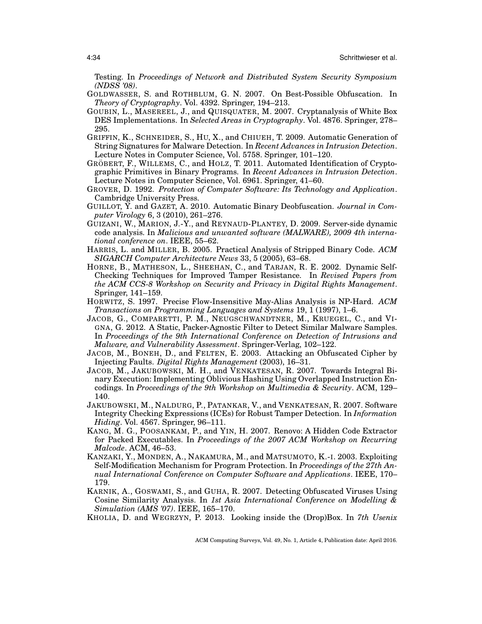Testing. In *Proceedings of Network and Distributed System Security Symposium (NDSS '08)*.

- <span id="page-33-1"></span>GOLDWASSER, S. and ROTHBLUM, G. N. 2007. On Best-Possible Obfuscation. In *Theory of Cryptography*. Vol. 4392. Springer, 194–213.
- <span id="page-33-5"></span>GOUBIN, L., MASEREEL, J., and QUISQUATER, M. 2007. Cryptanalysis of White Box DES Implementations. In *Selected Areas in Cryptography*. Vol. 4876. Springer, 278– 295.
- <span id="page-33-6"></span>GRIFFIN, K., SCHNEIDER, S., HU, X., and CHIUEH, T. 2009. Automatic Generation of String Signatures for Malware Detection. In *Recent Advances in Intrusion Detection*. Lecture Notes in Computer Science, Vol. 5758. Springer, 101–120.
- <span id="page-33-11"></span>GRÖBERT, F., WILLEMS, C., and HOLZ, T. 2011. Automated Identification of Cryptographic Primitives in Binary Programs. In *Recent Advances in Intrusion Detection*. Lecture Notes in Computer Science, Vol. 6961. Springer, 41–60.
- <span id="page-33-0"></span>GROVER, D. 1992. *Protection of Computer Software: Its Technology and Application*. Cambridge University Press.
- <span id="page-33-12"></span>GUILLOT, Y. and GAZET, A. 2010. Automatic Binary Deobfuscation. *Journal in Computer Virology* 6, 3 (2010), 261–276.
- <span id="page-33-10"></span>GUIZANI, W., MARION, J.-Y., and REYNAUD-PLANTEY, D. 2009. Server-side dynamic code analysis. In *Malicious and unwanted software (MALWARE), 2009 4th international conference on*. IEEE, 55–62.
- <span id="page-33-7"></span>HARRIS, L. and MILLER, B. 2005. Practical Analysis of Stripped Binary Code. *ACM SIGARCH Computer Architecture News* 33, 5 (2005), 63–68.
- <span id="page-33-3"></span>HORNE, B., MATHESON, L., SHEEHAN, C., and TARJAN, R. E. 2002. Dynamic Self-Checking Techniques for Improved Tamper Resistance. In *Revised Papers from the ACM CCS-8 Workshop on Security and Privacy in Digital Rights Management*. Springer, 141–159.
- <span id="page-33-15"></span>HORWITZ, S. 1997. Precise Flow-Insensitive May-Alias Analysis is NP-Hard. *ACM Transactions on Programming Languages and Systems* 19, 1 (1997), 1–6.
- <span id="page-33-9"></span>JACOB, G., COMPARETTI, P. M., NEUGSCHWANDTNER, M., KRUEGEL, C., and VI-GNA, G. 2012. A Static, Packer-Agnostic Filter to Detect Similar Malware Samples. In *Proceedings of the 9th International Conference on Detection of Intrusions and Malware, and Vulnerability Assessment*. Springer-Verlag, 102–122.
- <span id="page-33-4"></span>JACOB, M., BONEH, D., and FELTEN, E. 2003. Attacking an Obfuscated Cipher by Injecting Faults. *Digital Rights Management* (2003), 16–31.
- <span id="page-33-14"></span>JACOB, M., JAKUBOWSKI, M. H., and VENKATESAN, R. 2007. Towards Integral Binary Execution: Implementing Oblivious Hashing Using Overlapped Instruction Encodings. In *Proceedings of the 9th Workshop on Multimedia & Security*. ACM, 129– 140.
- <span id="page-33-2"></span>JAKUBOWSKI, M., NALDURG, P., PATANKAR, V., and VENKATESAN, R. 2007. Software Integrity Checking Expressions (ICEs) for Robust Tamper Detection. In *Information Hiding*. Vol. 4567. Springer, 96–111.
- <span id="page-33-17"></span>KANG, M. G., POOSANKAM, P., and YIN, H. 2007. Renovo: A Hidden Code Extractor for Packed Executables. In *Proceedings of the 2007 ACM Workshop on Recurring Malcode*. ACM, 46–53.
- <span id="page-33-16"></span>KANZAKI, Y., MONDEN, A., NAKAMURA, M., and MATSUMOTO, K.-I. 2003. Exploiting Self-Modification Mechanism for Program Protection. In *Proceedings of the 27th Annual International Conference on Computer Software and Applications*. IEEE, 170– 179.
- <span id="page-33-8"></span>KARNIK, A., GOSWAMI, S., and GUHA, R. 2007. Detecting Obfuscated Viruses Using Cosine Similarity Analysis. In *1st Asia International Conference on Modelling & Simulation (AMS '07)*. IEEE, 165–170.
- <span id="page-33-13"></span>KHOLIA, D. and WEGRZYN, P. 2013. Looking inside the (Drop)Box. In *7th Usenix*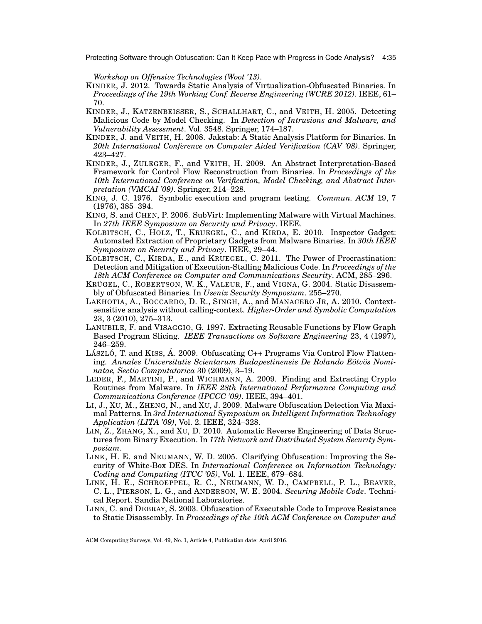*Workshop on Offensive Technologies (Woot '13)*.

- <span id="page-34-1"></span>KINDER, J. 2012. Towards Static Analysis of Virtualization-Obfuscated Binaries. In *Proceedings of the 19th Working Conf. Reverse Engineering (WCRE 2012)*. IEEE, 61– 70.
- <span id="page-34-15"></span>KINDER, J., KATZENBEISSER, S., SCHALLHART, C., and VEITH, H. 2005. Detecting Malicious Code by Model Checking. In *Detection of Intrusions and Malware, and Vulnerability Assessment*. Vol. 3548. Springer, 174–187.
- <span id="page-34-0"></span>KINDER, J. and VEITH, H. 2008. Jakstab: A Static Analysis Platform for Binaries. In *20th International Conference on Computer Aided Verification (CAV '08)*. Springer, 423–427.
- <span id="page-34-13"></span>KINDER, J., ZULEGER, F., and VEITH, H. 2009. An Abstract Interpretation-Based Framework for Control Flow Reconstruction from Binaries. In *Proceedings of the 10th International Conference on Verification, Model Checking, and Abstract Interpretation (VMCAI '09)*. Springer, 214–228.
- <span id="page-34-17"></span>KING, J. C. 1976. Symbolic execution and program testing. *Commun. ACM* 19, 7 (1976), 385–394.
- <span id="page-34-12"></span>KING, S. and CHEN, P. 2006. SubVirt: Implementing Malware with Virtual Machines. In *27th IEEE Symposium on Security and Privacy*. IEEE.
- <span id="page-34-6"></span>KOLBITSCH, C., HOLZ, T., KRUEGEL, C., and KIRDA, E. 2010. Inspector Gadget: Automated Extraction of Proprietary Gadgets from Malware Binaries. In *30th IEEE Symposium on Security and Privacy*. IEEE, 29–44.
- <span id="page-34-16"></span>KOLBITSCH, C., KIRDA, E., and KRUEGEL, C. 2011. The Power of Procrastination: Detection and Mitigation of Execution-Stalling Malicious Code. In *Proceedings of the 18th ACM Conference on Computer and Communications Security*. ACM, 285–296.
- <span id="page-34-14"></span>KRÜGEL, C., ROBERTSON, W. K., VALEUR, F., and VIGNA, G. 2004. Static Disassembly of Obfuscated Binaries. In *Usenix Security Symposium*. 255–270.
- <span id="page-34-9"></span>LAKHOTIA, A., BOCCARDO, D. R., SINGH, A., and MANACERO JR, A. 2010. Contextsensitive analysis without calling-context. *Higher-Order and Symbolic Computation* 23, 3 (2010), 275–313.
- <span id="page-34-7"></span>LANUBILE, F. and VISAGGIO, G. 1997. Extracting Reusable Functions by Flow Graph Based Program Slicing. *IEEE Transactions on Software Engineering* 23, 4 (1997), 246–259.
- <span id="page-34-11"></span>LÁSZLÓ, T. and KISS, A. 2009. Obfuscating  $C_{++}$  Programs Via Control Flow Flattening. Annales Universitatis Scientarum Budapestinensis De Rolando Eötvös Nomi*natae, Sectio Computatorica* 30 (2009), 3–19.
- <span id="page-34-5"></span>LEDER, F., MARTINI, P., and WICHMANN, A. 2009. Finding and Extracting Crypto Routines from Malware. In *IEEE 28th International Performance Computing and Communications Conference (IPCCC '09)*. IEEE, 394–401.
- <span id="page-34-4"></span>LI, J., XU, M., ZHENG, N., and XU, J. 2009. Malware Obfuscation Detection Via Maximal Patterns. In *3rd International Symposium on Intelligent Information Technology Application (LITA '09)*, Vol. 2. IEEE, 324–328.
- <span id="page-34-2"></span>LIN, Z., ZHANG, X., and XU, D. 2010. Automatic Reverse Engineering of Data Structures from Binary Execution. In *17th Network and Distributed System Security Symposium*.
- <span id="page-34-8"></span>LINK, H. E. and NEUMANN, W. D. 2005. Clarifying Obfuscation: Improving the Security of White-Box DES. In *International Conference on Information Technology: Coding and Computing (ITCC '05)*, Vol. 1. IEEE, 679–684.
- <span id="page-34-3"></span>LINK, H. E., SCHROEPPEL, R. C., NEUMANN, W. D., CAMPBELL, P. L., BEAVER, C. L., PIERSON, L. G., and ANDERSON, W. E. 2004. *Securing Mobile Code*. Technical Report. Sandia National Laboratories.
- <span id="page-34-10"></span>LINN, C. and DEBRAY, S. 2003. Obfuscation of Executable Code to Improve Resistance to Static Disassembly. In *Proceedings of the 10th ACM Conference on Computer and*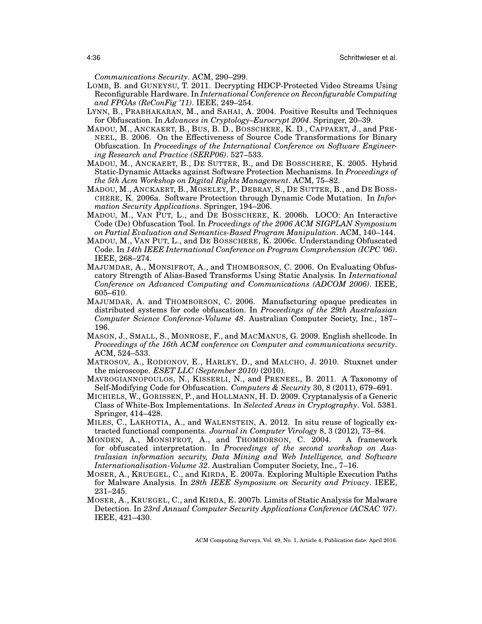*Communications Security*. ACM, 290–299.

- <span id="page-35-16"></span>LOMB, B. and GUNEYSU, T. 2011. Decrypting HDCP-Protected Video Streams Using Reconfigurable Hardware. In *International Conference on Reconfigurable Computing and FPGAs (ReConFig '11)*. IEEE, 249–254.
- <span id="page-35-0"></span>LYNN, B., PRABHAKARAN, M., and SAHAI, A. 2004. Positive Results and Techniques for Obfuscation. In *Advances in Cryptology–Eurocrypt 2004*. Springer, 20–39.
- <span id="page-35-1"></span>MADOU, M., ANCKAERT, B., BUS, B. D., BOSSCHERE, K. D., CAPPAERT, J., and PRE-NEEL, B. 2006. On the Effectiveness of Source Code Transformations for Binary Obfuscation. In *Proceedings of the International Conference on Software Engineering Research and Practice (SERP06)*. 527–533.
- <span id="page-35-5"></span>MADOU, M., ANCKAERT, B., DE SUTTER, B., and DE BOSSCHERE, K. 2005. Hybrid Static-Dynamic Attacks against Software Protection Mechanisms. In *Proceedings of the 5th Acm Workshop on Digital Rights Management*. ACM, 75–82.
- <span id="page-35-14"></span>MADOU, M., ANCKAERT, B., MOSELEY, P., DEBRAY, S., DE SUTTER, B., and DE BOSS-CHERE, K. 2006a. Software Protection through Dynamic Code Mutation. In *Information Security Applications*. Springer, 194–206.
- <span id="page-35-7"></span>MADOU, M., VAN PUT, L., and DE BOSSCHERE, K. 2006b. LOCO: An Interactive Code (De) Obfuscation Tool. In *Proceedings of the 2006 ACM SIGPLAN Symposium on Partial Evaluation and Semantics-Based Program Manipulation*. ACM, 140–144.
- <span id="page-35-8"></span>MADOU, M., VAN PUT, L., and DE BOSSCHERE, K. 2006c. Understanding Obfuscated Code. In *14th IEEE International Conference on Program Comprehension (ICPC '06)*. IEEE, 268–274.
- <span id="page-35-9"></span>MAJUMDAR, A., MONSIFROT, A., and THOMBORSON, C. 2006. On Evaluating Obfuscatory Strength of Alias-Based Transforms Using Static Analysis. In *International Conference on Advanced Computing and Communications (ADCOM 2006)*. IEEE, 605–610.
- <span id="page-35-11"></span>MAJUMDAR, A. and THOMBORSON, C. 2006. Manufacturing opaque predicates in distributed systems for code obfuscation. In *Proceedings of the 29th Australasian Computer Science Conference-Volume 48*. Australian Computer Society, Inc., 187– 196.
- <span id="page-35-10"></span>MASON, J., SMALL, S., MONROSE, F., and MACMANUS, G. 2009. English shellcode. In *Proceedings of the 16th ACM conference on Computer and communications security*. ACM, 524–533.
- <span id="page-35-12"></span>MATROSOV, A., RODIONOV, E., HARLEY, D., and MALCHO, J. 2010. Stuxnet under the microscope. *ESET LLC (September 2010)* (2010).
- <span id="page-35-13"></span>MAVROGIANNOPOULOS, N., KISSERLI, N., and PRENEEL, B. 2011. A Taxonomy of Self-Modifying Code for Obfuscation. *Computers & Security* 30, 8 (2011), 679–691.
- <span id="page-35-4"></span>MICHIELS, W., GORISSEN, P., and HOLLMANN, H. D. 2009. Cryptanalysis of a Generic Class of White-Box Implementations. In *Selected Areas in Cryptography*. Vol. 5381. Springer, 414–428.
- <span id="page-35-2"></span>MILES, C., LAKHOTIA, A., and WALENSTEIN, A. 2012. In situ reuse of logically extracted functional components. *Journal in Computer Virology* 8, 3 (2012), 73–84.
- <span id="page-35-15"></span>MONDEN, A., MONSIFROT, A., and THOMBORSON, C. 2004. A framework for obfuscated interpretation. In *Proceedings of the second workshop on Australasian information security, Data Mining and Web Intelligence, and Software Internationalisation-Volume 32*. Australian Computer Society, Inc., 7–16.
- <span id="page-35-6"></span>MOSER, A., KRUEGEL, C., and KIRDA, E. 2007a. Exploring Multiple Execution Paths for Malware Analysis. In *28th IEEE Symposium on Security and Privacy*. IEEE, 231–245.
- <span id="page-35-3"></span>MOSER, A., KRUEGEL, C., and KIRDA, E. 2007b. Limits of Static Analysis for Malware Detection. In *23rd Annual Computer Security Applications Conference (ACSAC '07)*. IEEE, 421–430.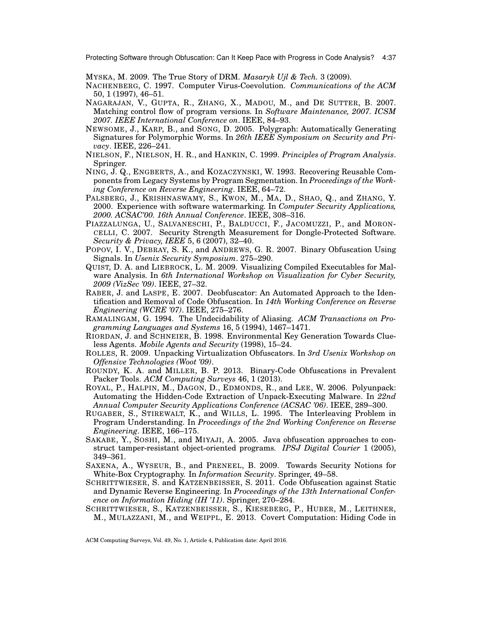<span id="page-36-12"></span>MYSKA, M. 2009. The True Story of DRM. *Masaryk Ujl & Tech.* 3 (2009).

- <span id="page-36-0"></span>NACHENBERG, C. 1997. Computer Virus-Coevolution. *Communications of the ACM* 50, 1 (1997), 46–51.
- <span id="page-36-4"></span>NAGARAJAN, V., GUPTA, R., ZHANG, X., MADOU, M., and DE SUTTER, B. 2007. Matching control flow of program versions. In *Software Maintenance, 2007. ICSM 2007. IEEE International Conference on*. IEEE, 84–93.
- <span id="page-36-3"></span>NEWSOME, J., KARP, B., and SONG, D. 2005. Polygraph: Automatically Generating Signatures for Polymorphic Worms. In *26th IEEE Symposium on Security and Privacy*. IEEE, 226–241.
- <span id="page-36-20"></span>NIELSON, F., NIELSON, H. R., and HANKIN, C. 1999. *Principles of Program Analysis*. Springer.
- <span id="page-36-9"></span>NING, J. Q., ENGBERTS, A., and KOZACZYNSKI, W. 1993. Recovering Reusable Components from Legacy Systems by Program Segmentation. In *Proceedings of the Working Conference on Reverse Engineering*. IEEE, 64–72.
- <span id="page-36-14"></span>PALSBERG, J., KRISHNASWAMY, S., KWON, M., MA, D., SHAO, Q., and ZHANG, Y. 2000. Experience with software watermarking. In *Computer Security Applications, 2000. ACSAC'00. 16th Annual Conference*. IEEE, 308–316.
- <span id="page-36-1"></span>PIAZZALUNGA, U., SALVANESCHI, P., BALDUCCI, F., JACOMUZZI, P., and MORON-CELLI, C. 2007. Security Strength Measurement for Dongle-Protected Software. *Security & Privacy, IEEE* 5, 6 (2007), 32–40.
- <span id="page-36-5"></span>POPOV, I. V., DEBRAY, S. K., and ANDREWS, G. R. 2007. Binary Obfuscation Using Signals. In *Usenix Security Symposium*. 275–290.
- <span id="page-36-8"></span>QUIST, D. A. and LIEBROCK, L. M. 2009. Visualizing Compiled Executables for Malware Analysis. In *6th International Workshop on Visualization for Cyber Security, 2009 (VizSec '09)*. IEEE, 27–32.
- <span id="page-36-11"></span>RABER, J. and LASPE, E. 2007. Deobfuscator: An Automated Approach to the Identification and Removal of Code Obfuscation. In *14th Working Conference on Reverse Engineering (WCRE '07)*. IEEE, 275–276.
- <span id="page-36-15"></span>RAMALINGAM, G. 1994. The Undecidability of Aliasing. *ACM Transactions on Programming Languages and Systems* 16, 5 (1994), 1467–1471.
- <span id="page-36-19"></span>RIORDAN, J. and SCHNEIER, B. 1998. Environmental Key Generation Towards Clueless Agents. *Mobile Agents and Security* (1998), 15–24.
- <span id="page-36-7"></span>ROLLES, R. 2009. Unpacking Virtualization Obfuscators. In *3rd Usenix Workshop on Offensive Technologies (Woot '09)*.
- <span id="page-36-18"></span>ROUNDY, K. A. and MILLER, B. P. 2013. Binary-Code Obfuscations in Prevalent Packer Tools. *ACM Computing Surveys* 46, 1 (2013).
- <span id="page-36-6"></span>ROYAL, P., HALPIN, M., DAGON, D., EDMONDS, R., and LEE, W. 2006. Polyunpack: Automating the Hidden-Code Extraction of Unpack-Executing Malware. In *22nd Annual Computer Security Applications Conference (ACSAC '06)*. IEEE, 289–300.
- <span id="page-36-10"></span>RUGABER, S., STIREWALT, K., and WILLS, L. 1995. The Interleaving Problem in Program Understanding. In *Proceedings of the 2nd Working Conference on Reverse Engineering*. IEEE, 166–175.
- <span id="page-36-17"></span>SAKABE, Y., SOSHI, M., and MIYAJI, A. 2005. Java obfuscation approaches to construct tamper-resistant object-oriented programs. *IPSJ Digital Courier* 1 (2005), 349–361.
- <span id="page-36-2"></span>SAXENA, A., WYSEUR, B., and PRENEEL, B. 2009. Towards Security Notions for White-Box Cryptography. In *Information Security*. Springer, 49–58.
- <span id="page-36-16"></span>SCHRITTWIESER, S. and KATZENBEISSER, S. 2011. Code Obfuscation against Static and Dynamic Reverse Engineering. In *Proceedings of the 13th International Conference on Information Hiding (IH '11)*. Springer, 270–284.
- <span id="page-36-13"></span>SCHRITTWIESER, S., KATZENBEISSER, S., KIESEBERG, P., HUBER, M., LEITHNER, M., MULAZZANI, M., and WEIPPL, E. 2013. Covert Computation: Hiding Code in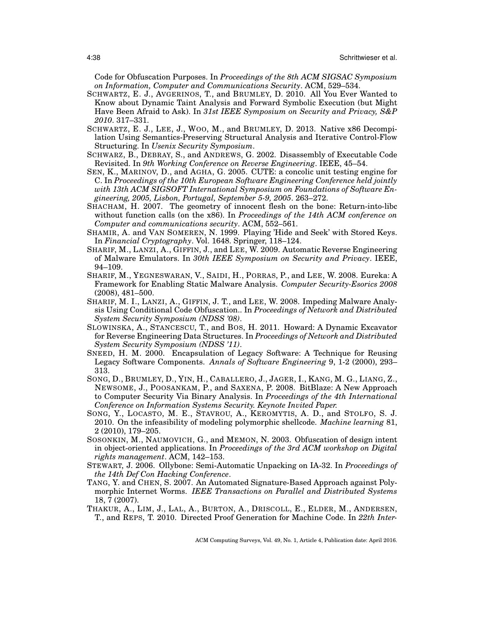Code for Obfuscation Purposes. In *Proceedings of the 8th ACM SIGSAC Symposium on Information, Computer and Communications Security*. ACM, 529–534.

- <span id="page-37-13"></span>SCHWARTZ, E. J., AVGERINOS, T., and BRUMLEY, D. 2010. All You Ever Wanted to Know about Dynamic Taint Analysis and Forward Symbolic Execution (but Might Have Been Afraid to Ask). In *31st IEEE Symposium on Security and Privacy, S&P 2010*. 317–331.
- <span id="page-37-15"></span>SCHWARTZ, E. J., LEE, J., WOO, M., and BRUMLEY, D. 2013. Native x86 Decompilation Using Semantics-Preserving Structural Analysis and Iterative Control-Flow Structuring. In *Usenix Security Symposium*.
- <span id="page-37-11"></span>SCHWARZ, B., DEBRAY, S., and ANDREWS, G. 2002. Disassembly of Executable Code Revisited. In *9th Working Conference on Reverse Engineering*. IEEE, 45–54.
- <span id="page-37-12"></span>SEN, K., MARINOV, D., and AGHA, G. 2005. CUTE: a concolic unit testing engine for C. In *Proceedings of the 10th European Software Engineering Conference held jointly with 13th ACM SIGSOFT International Symposium on Foundations of Software Engineering, 2005, Lisbon, Portugal, September 5-9, 2005*. 263–272.
- <span id="page-37-1"></span>SHACHAM, H. 2007. The geometry of innocent flesh on the bone: Return-into-libc without function calls (on the x86). In *Proceedings of the 14th ACM conference on Computer and communications security*. ACM, 552–561.
- <span id="page-37-2"></span>SHAMIR, A. and VAN SOMEREN, N. 1999. Playing 'Hide and Seek' with Stored Keys. In *Financial Cryptography*. Vol. 1648. Springer, 118–124.
- <span id="page-37-7"></span>SHARIF, M., LANZI, A., GIFFIN, J., and LEE, W. 2009. Automatic Reverse Engineering of Malware Emulators. In *30th IEEE Symposium on Security and Privacy*. IEEE, 94–109.
- <span id="page-37-5"></span>SHARIF, M., YEGNESWARAN, V., SAIDI, H., PORRAS, P., and LEE, W. 2008. Eureka: A Framework for Enabling Static Malware Analysis. *Computer Security-Esorics 2008* (2008), 481–500.
- <span id="page-37-10"></span>SHARIF, M. I., LANZI, A., GIFFIN, J. T., and LEE, W. 2008. Impeding Malware Analysis Using Conditional Code Obfuscation.. In *Proceedings of Network and Distributed System Security Symposium (NDSS '08)*.
- <span id="page-37-3"></span>SLOWINSKA, A., STANCESCU, T., and BOS, H. 2011. Howard: A Dynamic Excavator for Reverse Engineering Data Structures. In *Proceedings of Network and Distributed System Security Symposium (NDSS '11)*.
- <span id="page-37-8"></span>SNEED, H. M. 2000. Encapsulation of Legacy Software: A Technique for Reusing Legacy Software Components. *Annals of Software Engineering* 9, 1-2 (2000), 293– 313.
- <span id="page-37-6"></span>SONG, D., BRUMLEY, D., YIN, H., CABALLERO, J., JAGER, I., KANG, M. G., LIANG, Z., NEWSOME, J., POOSANKAM, P., and SAXENA, P. 2008. BitBlaze: A New Approach to Computer Security Via Binary Analysis. In *Proceedings of the 4th International Conference on Information Systems Security. Keynote Invited Paper.*
- <span id="page-37-0"></span>SONG, Y., LOCASTO, M. E., STAVROU, A., KEROMYTIS, A. D., and STOLFO, S. J. 2010. On the infeasibility of modeling polymorphic shellcode. *Machine learning* 81, 2 (2010), 179–205.
- <span id="page-37-9"></span>SOSONKIN, M., NAUMOVICH, G., and MEMON, N. 2003. Obfuscation of design intent in object-oriented applications. In *Proceedings of the 3rd ACM workshop on Digital rights management*. ACM, 142–153.
- <span id="page-37-16"></span>STEWART, J. 2006. Ollybone: Semi-Automatic Unpacking on IA-32. In *Proceedings of the 14th Def Con Hacking Conference*.
- <span id="page-37-4"></span>TANG, Y. and CHEN, S. 2007. An Automated Signature-Based Approach against Polymorphic Internet Worms. *IEEE Transactions on Parallel and Distributed Systems* 18, 7 (2007).
- <span id="page-37-14"></span>THAKUR, A., LIM, J., LAL, A., BURTON, A., DRISCOLL, E., ELDER, M., ANDERSEN, T., and REPS, T. 2010. Directed Proof Generation for Machine Code. In *22th Inter-*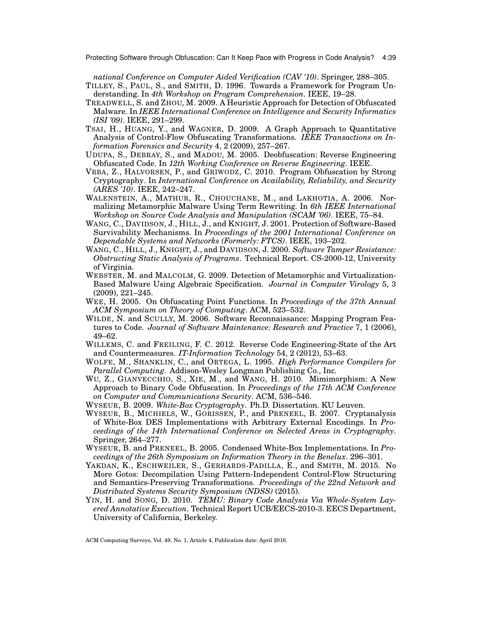*national Conference on Computer Aided Verification (CAV '10)*. Springer, 288–305.

- <span id="page-38-18"></span>TILLEY, S., PAUL, S., and SMITH, D. 1996. Towards a Framework for Program Understanding. In *4th Workshop on Program Comprehension*. IEEE, 19–28.
- <span id="page-38-6"></span>TREADWELL, S. and ZHOU, M. 2009. A Heuristic Approach for Detection of Obfuscated Malware. In *IEEE International Conference on Intelligence and Security Informatics (ISI '09)*. IEEE, 291–299.
- <span id="page-38-7"></span>TSAI, H., HUANG, Y., and WAGNER, D. 2009. A Graph Approach to Quantitative Analysis of Control-Flow Obfuscating Transformations. *IEEE Transactions on Information Forensics and Security* 4, 2 (2009), 257–267.
- <span id="page-38-11"></span>UDUPA, S., DEBRAY, S., and MADOU, M. 2005. Deobfuscation: Reverse Engineering Obfuscated Code. In *12th Working Conference on Reverse Engineering*. IEEE.
- <span id="page-38-15"></span>VRBA, Z., HALVORSEN, P., and GRIWODZ, C. 2010. Program Obfuscation by Strong Cryptography. In *International Conference on Availability, Reliability, and Security (ARES '10)*. IEEE, 242–247.
- <span id="page-38-5"></span>WALENSTEIN, A., MATHUR, R., CHOUCHANE, M., and LAKHOTIA, A. 2006. Normalizing Metamorphic Malware Using Term Rewriting. In *6th IEEE International Workshop on Source Code Analysis and Manipulation (SCAM '06)*. IEEE, 75–84.
- <span id="page-38-12"></span>WANG, C., DAVIDSON, J., HILL, J., and KNIGHT, J. 2001. Protection of Software-Based Survivability Mechanisms. In *Proceedings of the 2001 International Conference on Dependable Systems and Networks (Formerly: FTCS)*. IEEE, 193–202.
- <span id="page-38-1"></span>WANG, C., HILL, J., KNIGHT, J., and DAVIDSON, J. 2000. *Software Tamper Resistance: Obstructing Static Analysis of Programs*. Technical Report. CS-2000-12, University of Virginia.
- <span id="page-38-9"></span>WEBSTER, M. and MALCOLM, G. 2009. Detection of Metamorphic and Virtualization-Based Malware Using Algebraic Specification. *Journal in Computer Virology* 5, 3 (2009), 221–245.
- <span id="page-38-0"></span>WEE, H. 2005. On Obfuscating Point Functions. In *Proceedings of the 37th Annual ACM Symposium on Theory of Computing*. ACM, 523–532.
- <span id="page-38-8"></span>WILDE, N. and SCULLY, M. 2006. Software Reconnaissance: Mapping Program Features to Code. *Journal of Software Maintenance: Research and Practice* 7, 1 (2006), 49–62.
- <span id="page-38-17"></span>WILLEMS, C. and FREILING, F. C. 2012. Reverse Code Engineering-State of the Art and Countermeasures. *IT-Information Technology* 54, 2 (2012), 53–63.
- <span id="page-38-13"></span>WOLFE, M., SHANKLIN, C., and ORTEGA, L. 1995. *High Performance Compilers for Parallel Computing*. Addison-Wesley Longman Publishing Co., Inc.
- <span id="page-38-14"></span>WU, Z., GIANVECCHIO, S., XIE, M., and WANG, H. 2010. Mimimorphism: A New Approach to Binary Code Obfuscation. In *Proceedings of the 17th ACM Conference on Computer and Communications Security*. ACM, 536–546.
- <span id="page-38-4"></span>WYSEUR, B. 2009. *White-Box Cryptography*. Ph.D. Dissertation. KU Leuven.
- <span id="page-38-3"></span>WYSEUR, B., MICHIELS, W., GORISSEN, P., and PRENEEL, B. 2007. Cryptanalysis of White-Box DES Implementations with Arbitrary External Encodings. In *Proceedings of the 14th International Conference on Selected Areas in Cryptography*. Springer, 264–277.
- <span id="page-38-2"></span>WYSEUR, B. and PRENEEL, B. 2005. Condensed White-Box Implementations. In *Proceedings of the 26th Symposium on Information Theory in the Benelux*. 296–301.
- <span id="page-38-16"></span>YAKDAN, K., ESCHWEILER, S., GERHARDS-PADILLA, E., and SMITH, M. 2015. No More Gotos: Decompilation Using Pattern-Independent Control-Flow Structuring and Semantics-Preserving Transformations. *Proceedings of the 22nd Network and Distributed Systems Security Symposium (NDSS)* (2015).
- <span id="page-38-10"></span>YIN, H. and SONG, D. 2010. *TEMU: Binary Code Analysis Via Whole-System Layered Annotative Execution*. Technical Report UCB/EECS-2010-3. EECS Department, University of California, Berkeley.